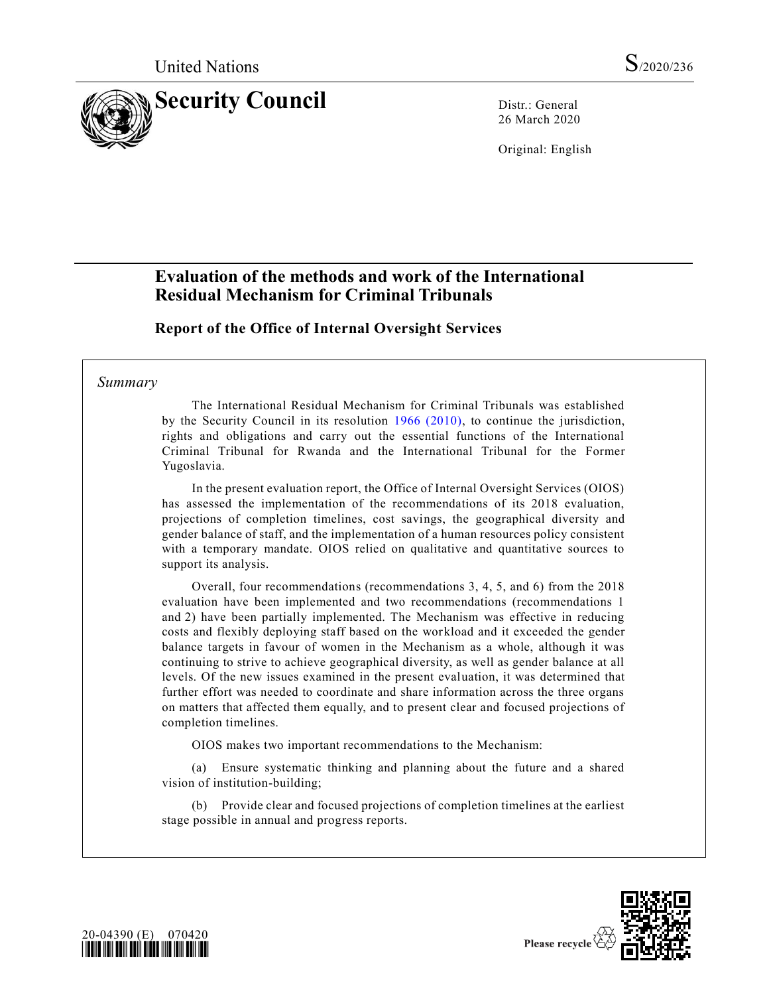

26 March 2020

Original: English

# **Evaluation of the methods and work of the International Residual Mechanism for Criminal Tribunals**

**Report of the Office of Internal Oversight Services**

### *Summary*

The International Residual Mechanism for Criminal Tribunals was established by the Security Council in its resolution [1966 \(2010\),](https://undocs.org/en/S/RES/1966(2010)) to continue the jurisdiction, rights and obligations and carry out the essential functions of the International Criminal Tribunal for Rwanda and the International Tribunal for the Former Yugoslavia.

In the present evaluation report, the Office of Internal Oversight Services (OIOS) has assessed the implementation of the recommendations of its 2018 evaluation, projections of completion timelines, cost savings, the geographical diversity and gender balance of staff, and the implementation of a human resources policy consistent with a temporary mandate. OIOS relied on qualitative and quantitative sources to support its analysis.

Overall, four recommendations (recommendations 3, 4, 5, and 6) from the 2018 evaluation have been implemented and two recommendations (recommendations 1 and 2) have been partially implemented. The Mechanism was effective in reducing costs and flexibly deploying staff based on the workload and it exceeded the gender balance targets in favour of women in the Mechanism as a whole, although it was continuing to strive to achieve geographical diversity, as well as gender balance at all levels. Of the new issues examined in the present evaluation, it was determined that further effort was needed to coordinate and share information across the three organs on matters that affected them equally, and to present clear and focused projections of completion timelines.

OIOS makes two important recommendations to the Mechanism:

(a) Ensure systematic thinking and planning about the future and a shared vision of institution-building;

(b) Provide clear and focused projections of completion timelines at the earliest stage possible in annual and progress reports.



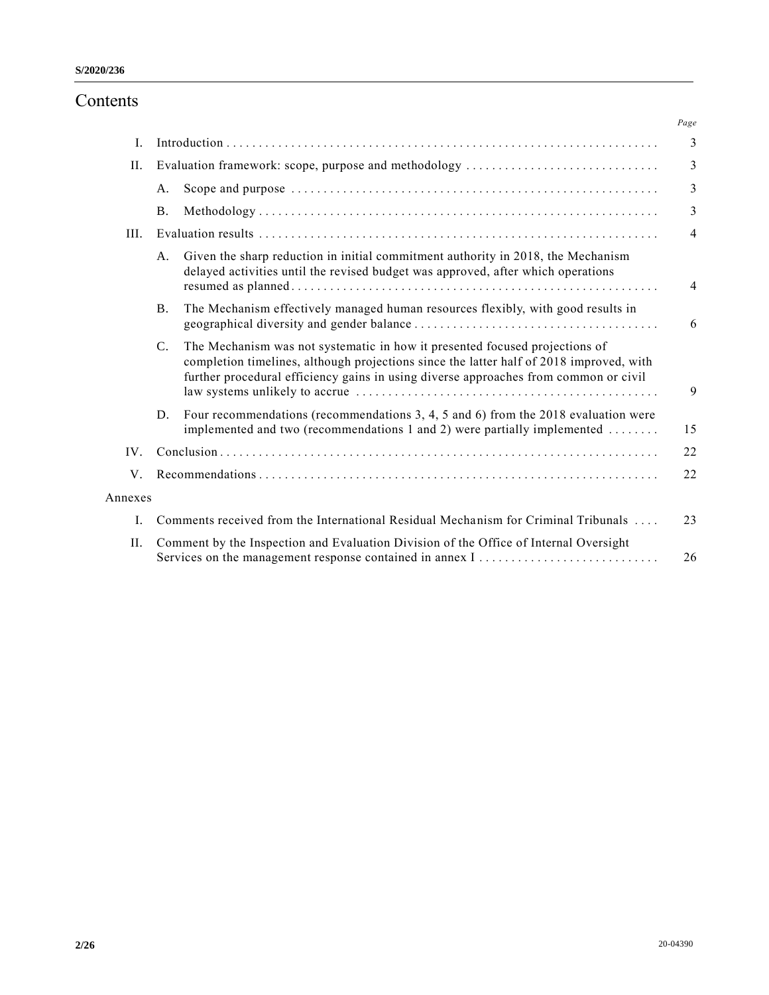# Contents

|         |                |                                                                                                                                                                                                                                                                | Page           |
|---------|----------------|----------------------------------------------------------------------------------------------------------------------------------------------------------------------------------------------------------------------------------------------------------------|----------------|
| Ι.      |                |                                                                                                                                                                                                                                                                | 3              |
| Η.      |                | Evaluation framework: scope, purpose and methodology                                                                                                                                                                                                           | 3              |
|         | А.             |                                                                                                                                                                                                                                                                | 3              |
|         | <b>B.</b>      |                                                                                                                                                                                                                                                                | 3              |
| III.    |                |                                                                                                                                                                                                                                                                | $\overline{4}$ |
|         | A.             | Given the sharp reduction in initial commitment authority in 2018, the Mechanism<br>delayed activities until the revised budget was approved, after which operations                                                                                           | $\overline{4}$ |
|         | <b>B.</b>      | The Mechanism effectively managed human resources flexibly, with good results in                                                                                                                                                                               | 6              |
|         | $\mathbf{C}$ . | The Mechanism was not systematic in how it presented focused projections of<br>completion timelines, although projections since the latter half of 2018 improved, with<br>further procedural efficiency gains in using diverse approaches from common or civil | 9              |
|         | D.             | Four recommendations (recommendations 3, 4, 5 and 6) from the 2018 evaluation were<br>implemented and two (recommendations 1 and 2) were partially implemented                                                                                                 | 15             |
| IV.     |                |                                                                                                                                                                                                                                                                | 22             |
| V.      |                |                                                                                                                                                                                                                                                                | 22             |
| Annexes |                |                                                                                                                                                                                                                                                                |                |
| I.      |                | Comments received from the International Residual Mechanism for Criminal Tribunals                                                                                                                                                                             | 23             |
| Η.      |                | Comment by the Inspection and Evaluation Division of the Office of Internal Oversight                                                                                                                                                                          | 26             |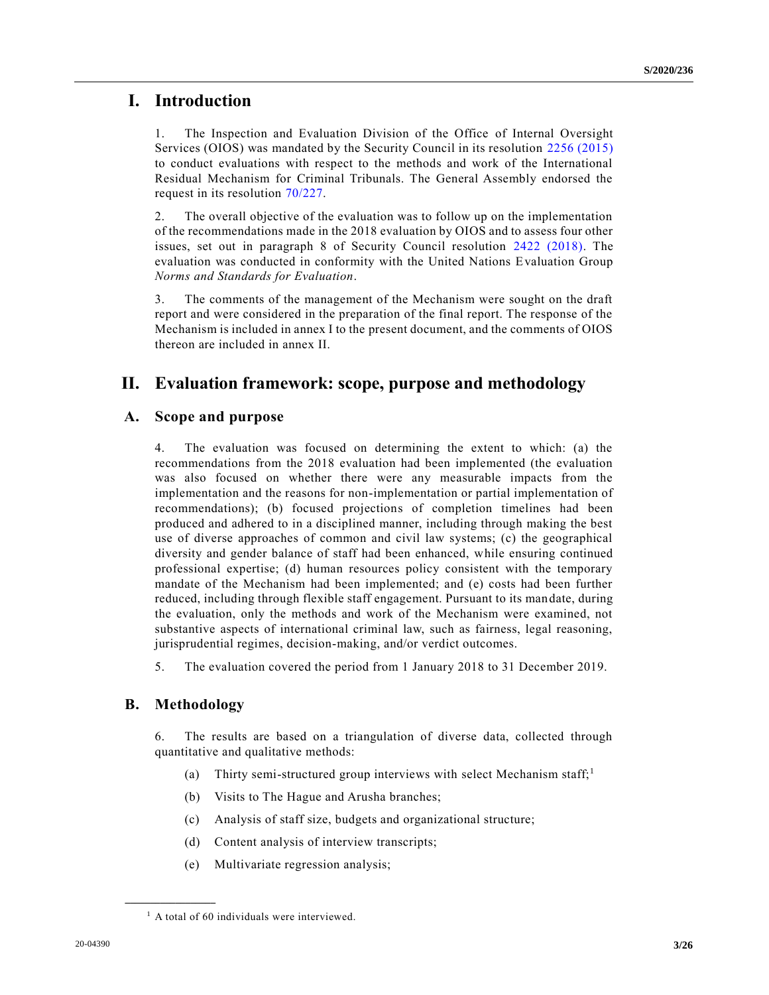# **I. Introduction**

1. The Inspection and Evaluation Division of the Office of Internal Oversight Services (OIOS) was mandated by the Security Council in its resolution [2256 \(2015\)](https://undocs.org/en/S/RES/2256(2015)) to conduct evaluations with respect to the methods and work of the International Residual Mechanism for Criminal Tribunals. The General Assembly endorsed the request in its resolution [70/227.](https://undocs.org/en/A/RES/70/227)

2. The overall objective of the evaluation was to follow up on the implementation of the recommendations made in the 2018 evaluation by OIOS and to assess four other issues, set out in paragraph 8 of Security Council resolution [2422 \(2018\).](https://undocs.org/en/S/RES/2422(2018)) The evaluation was conducted in conformity with the United Nations Evaluation Group *Norms and Standards for Evaluation*.

3. The comments of the management of the Mechanism were sought on the draft report and were considered in the preparation of the final report. The response of the Mechanism is included in annex I to the present document, and the comments of OIOS thereon are included in annex II.

# **II. Evaluation framework: scope, purpose and methodology**

### **A. Scope and purpose**

4. The evaluation was focused on determining the extent to which: (a) the recommendations from the 2018 evaluation had been implemented (the evaluation was also focused on whether there were any measurable impacts from the implementation and the reasons for non-implementation or partial implementation of recommendations); (b) focused projections of completion timelines had been produced and adhered to in a disciplined manner, including through making the best use of diverse approaches of common and civil law systems; (c) the geographical diversity and gender balance of staff had been enhanced, while ensuring continued professional expertise; (d) human resources policy consistent with the temporary mandate of the Mechanism had been implemented; and (e) costs had been further reduced, including through flexible staff engagement. Pursuant to its mandate, during the evaluation, only the methods and work of the Mechanism were examined, not substantive aspects of international criminal law, such as fairness, legal reasoning, jurisprudential regimes, decision-making, and/or verdict outcomes.

5. The evaluation covered the period from 1 January 2018 to 31 December 2019.

### **B. Methodology**

**\_\_\_\_\_\_\_\_\_\_\_\_\_\_\_\_\_\_**

6. The results are based on a triangulation of diverse data, collected through quantitative and qualitative methods:

- (a) Thirty semi-structured group interviews with select Mechanism staff;<sup>1</sup>
- (b) Visits to The Hague and Arusha branches;
- (c) Analysis of staff size, budgets and organizational structure;
- (d) Content analysis of interview transcripts;
- (e) Multivariate regression analysis;

 $<sup>1</sup>$  A total of 60 individuals were interviewed.</sup>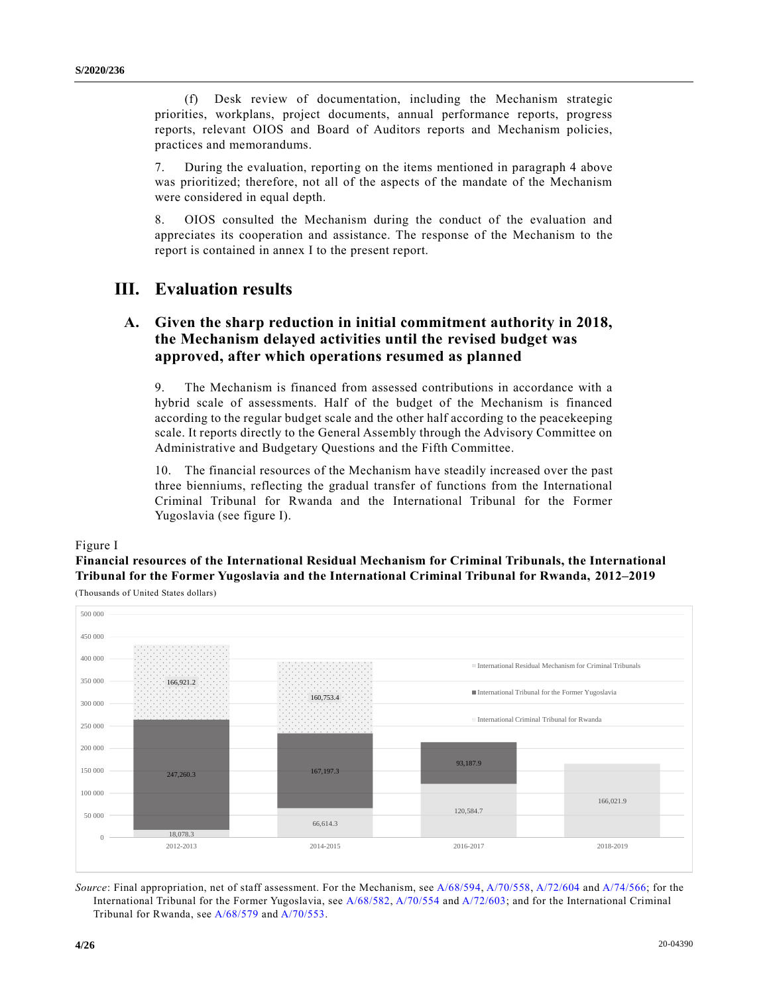(f) Desk review of documentation, including the Mechanism strategic priorities, workplans, project documents, annual performance reports, progress reports, relevant OIOS and Board of Auditors reports and Mechanism policies, practices and memorandums.

7. During the evaluation, reporting on the items mentioned in paragraph 4 above was prioritized; therefore, not all of the aspects of the mandate of the Mechanism were considered in equal depth.

8. OIOS consulted the Mechanism during the conduct of the evaluation and appreciates its cooperation and assistance. The response of the Mechanism to the report is contained in annex I to the present report.

# **III. Evaluation results**

## **A. Given the sharp reduction in initial commitment authority in 2018, the Mechanism delayed activities until the revised budget was approved, after which operations resumed as planned**

9. The Mechanism is financed from assessed contributions in accordance with a hybrid scale of assessments. Half of the budget of the Mechanism is financed according to the regular budget scale and the other half according to the peacekeeping scale. It reports directly to the General Assembly through the Advisory Committee on Administrative and Budgetary Questions and the Fifth Committee.

10. The financial resources of the Mechanism have steadily increased over the past three bienniums, reflecting the gradual transfer of functions from the International Criminal Tribunal for Rwanda and the International Tribunal for the Former Yugoslavia (see figure I).

#### Figure I

**Financial resources of the International Residual Mechanism for Criminal Tribunals, the International Tribunal for the Former Yugoslavia and the International Criminal Tribunal for Rwanda, 2012–2019**

(Thousands of United States dollars)



*Source*: Final appropriation, net of staff assessment. For the Mechanism, see [A/68/594,](https://undocs.org/en/A/68/594) [A/70/558,](https://undocs.org/en/A/70/558) [A/72/604](https://undocs.org/en/A/72/604) an[d A/74/566;](https://undocs.org/en/A/74/566) for the International Tribunal for the Former Yugoslavia, se[e A/68/582,](https://undocs.org/en/A/68/582) [A/70/554](https://undocs.org/en/A/70/554) and [A/72/603;](https://undocs.org/en/A/72/603) and for the International Criminal Tribunal for Rwanda, see [A/68/579](https://undocs.org/en/A/68/579) and [A/70/553.](https://undocs.org/en/A/70/553)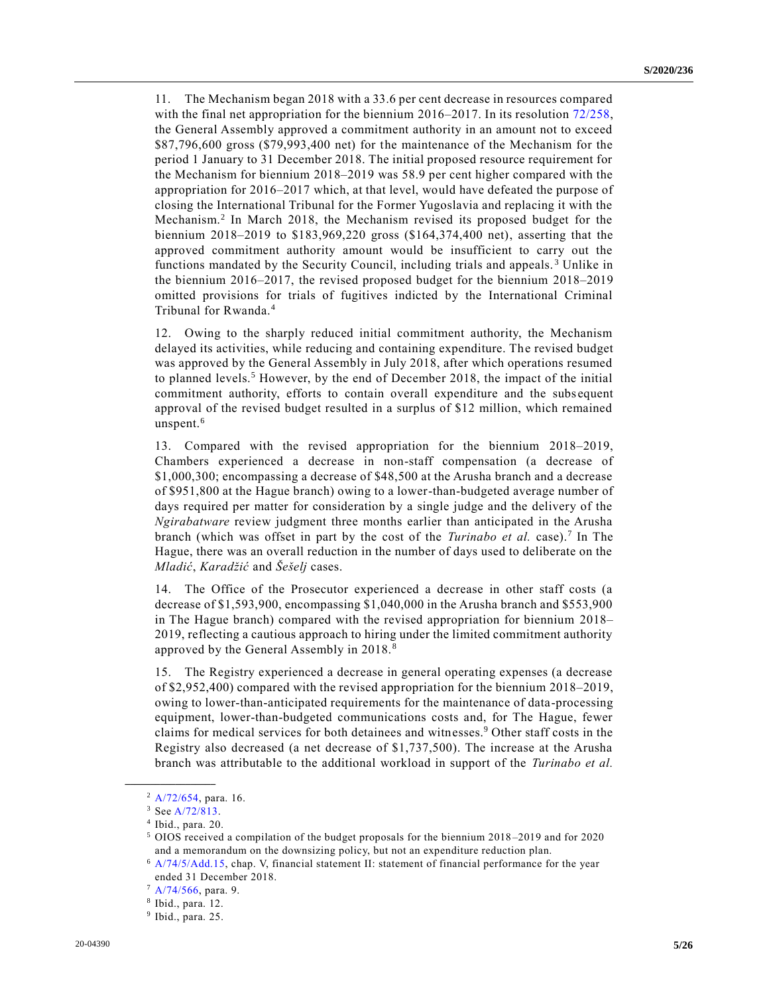11. The Mechanism began 2018 with a 33.6 per cent decrease in resources compared with the final net appropriation for the biennium 2016–2017. In its resolution [72/258,](https://undocs.org/en/A/RES/72/258) the General Assembly approved a commitment authority in an amount not to exceed \$87,796,600 gross (\$79,993,400 net) for the maintenance of the Mechanism for the period 1 January to 31 December 2018. The initial proposed resource requirement for the Mechanism for biennium 2018–2019 was 58.9 per cent higher compared with the appropriation for 2016–2017 which, at that level, would have defeated the purpose of closing the International Tribunal for the Former Yugoslavia and replacing it with the Mechanism.<sup>2</sup> In March 2018, the Mechanism revised its proposed budget for the biennium 2018–2019 to \$183,969,220 gross (\$164,374,400 net), asserting that the approved commitment authority amount would be insufficient to carry out the functions mandated by the Security Council, including trials and appeals. <sup>3</sup> Unlike in the biennium 2016–2017, the revised proposed budget for the biennium 2018–2019 omitted provisions for trials of fugitives indicted by the International Criminal Tribunal for Rwanda.<sup>4</sup>

12. Owing to the sharply reduced initial commitment authority, the Mechanism delayed its activities, while reducing and containing expenditure. The revised budget was approved by the General Assembly in July 2018, after which operations resumed to planned levels.<sup>5</sup> However, by the end of December 2018, the impact of the initial commitment authority, efforts to contain overall expenditure and the subs equent approval of the revised budget resulted in a surplus of \$12 million, which remained unspent. $6$ 

13. Compared with the revised appropriation for the biennium 2018–2019, Chambers experienced a decrease in non-staff compensation (a decrease of \$1,000,300; encompassing a decrease of \$48,500 at the Arusha branch and a decrease of \$951,800 at the Hague branch) owing to a lower-than-budgeted average number of days required per matter for consideration by a single judge and the delivery of the *Ngirabatware* review judgment three months earlier than anticipated in the Arusha branch (which was offset in part by the cost of the *Turinabo et al.* case).<sup>7</sup> In The Hague, there was an overall reduction in the number of days used to deliberate on the *Mladić*, *Karadžić* and *Šešelj* cases.

14. The Office of the Prosecutor experienced a decrease in other staff costs (a decrease of \$1,593,900, encompassing \$1,040,000 in the Arusha branch and \$553,900 in The Hague branch) compared with the revised appropriation for biennium 2018– 2019, reflecting a cautious approach to hiring under the limited commitment authority approved by the General Assembly in 2018. <sup>8</sup>

15. The Registry experienced a decrease in general operating expenses (a decrease of \$2,952,400) compared with the revised appropriation for the biennium 2018–2019, owing to lower-than-anticipated requirements for the maintenance of data-processing equipment, lower-than-budgeted communications costs and, for The Hague, fewer claims for medical services for both detainees and witnesses.<sup>9</sup> Other staff costs in the Registry also decreased (a net decrease of \$1,737,500). The increase at the Arusha branch was attributable to the additional workload in support of the *Turinabo et al.*

 $2$  [A/72/654,](https://undocs.org/en/A/72/654) para. 16.

<sup>3</sup> Se[e A/72/813.](https://undocs.org/en/A/72/813)

<sup>4</sup> Ibid., para. 20.

<sup>5</sup> OIOS received a compilation of the budget proposals for the biennium 2018 –2019 and for 2020 and a memorandum on the downsizing policy, but not an expenditure reduction plan.

<sup>6</sup> [A/74/5/Add.15,](https://undocs.org/en/A/74/5/Add.15) chap. V, financial statement II: statement of financial performance for the year ended 31 December 2018.

<sup>7</sup> [A/74/566,](https://undocs.org/en/A/74/566) para. 9.

<sup>8</sup> Ibid., para. 12.

<sup>9</sup> Ibid., para. 25.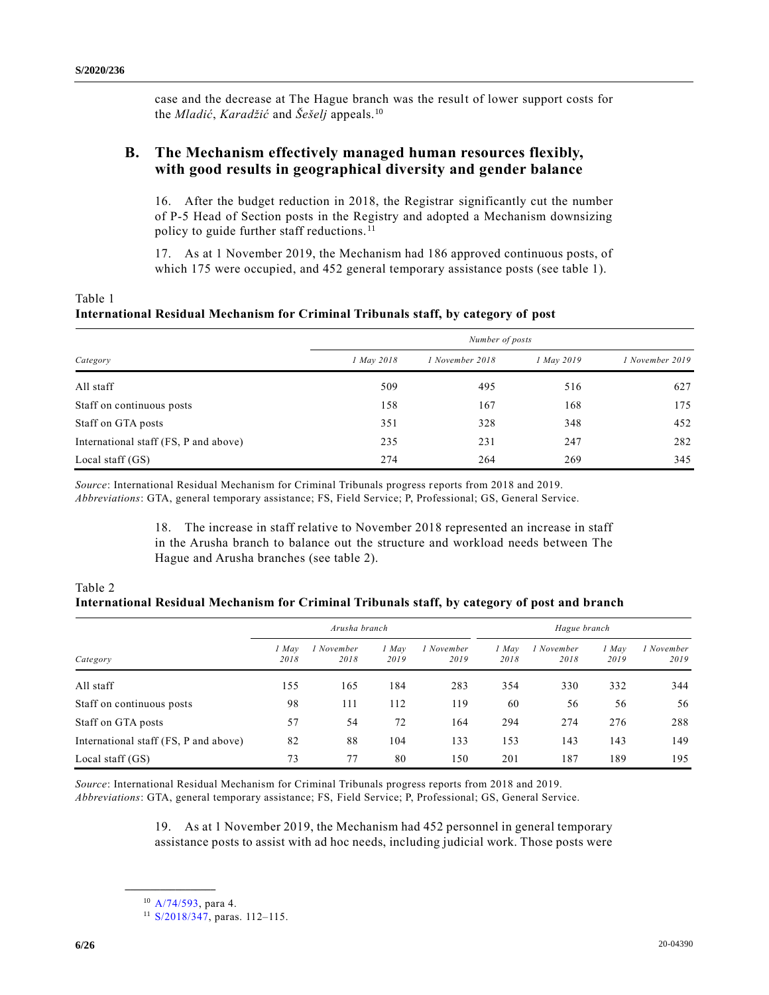case and the decrease at The Hague branch was the result of lower support costs for the *Mladić*, *Karadžić* and *Šešelj* appeals.<sup>10</sup>

## **B. The Mechanism effectively managed human resources flexibly, with good results in geographical diversity and gender balance**

16. After the budget reduction in 2018, the Registrar significantly cut the number of P-5 Head of Section posts in the Registry and adopted a Mechanism downsizing policy to guide further staff reductions.<sup>11</sup>

17. As at 1 November 2019, the Mechanism had 186 approved continuous posts, of which 175 were occupied, and 452 general temporary assistance posts (see table 1).

| Table 1                                                                            |  |  |  |  |
|------------------------------------------------------------------------------------|--|--|--|--|
| International Residual Mechanism for Criminal Tribunals staff, by category of post |  |  |  |  |

|                                       | Number of posts |                 |            |                 |  |  |
|---------------------------------------|-----------------|-----------------|------------|-----------------|--|--|
| Category                              | 1 May 2018      | 1 November 2018 | 1 May 2019 | 1 November 2019 |  |  |
| All staff                             | 509             | 495             | 516        | 627             |  |  |
| Staff on continuous posts             | 158             | 167             | 168        | 175             |  |  |
| Staff on GTA posts                    | 351             | 328             | 348        | 452             |  |  |
| International staff (FS, P and above) | 235             | 231             | 247        | 282             |  |  |
| Local staff $(GS)$                    | 274             | 264             | 269        | 345             |  |  |

*Source*: International Residual Mechanism for Criminal Tribunals progress reports from 2018 and 2019. *Abbreviations*: GTA, general temporary assistance; FS, Field Service; P, Professional; GS, General Service.

> 18. The increase in staff relative to November 2018 represented an increase in staff in the Arusha branch to balance out the structure and workload needs between The Hague and Arusha branches (see table 2).

### Table 2 **International Residual Mechanism for Criminal Tribunals staff, by category of post and branch**

|                                       | Arusha branch |                    |               | Hague branch       |               |                    |               |                    |
|---------------------------------------|---------------|--------------------|---------------|--------------------|---------------|--------------------|---------------|--------------------|
| Category                              | ! May<br>2018 | 1 November<br>2018 | 1 May<br>2019 | 1 November<br>2019 | 1 May<br>2018 | l November<br>2018 | 1 May<br>2019 | 1 November<br>2019 |
| All staff                             | 155           | 165                | 184           | 283                | 354           | 330                | 332           | 344                |
| Staff on continuous posts             | 98            | 111                | 112           | 119                | 60            | 56                 | 56            | 56                 |
| Staff on GTA posts                    | 57            | 54                 | 72            | 164                | 294           | 274                | 276           | 288                |
| International staff (FS, P and above) | 82            | 88                 | 104           | 133                | 153           | 143                | 143           | 149                |
| Local staff $(GS)$                    | 73            | 77                 | 80            | 150                | 201           | 187                | 189           | 195                |

*Source*: International Residual Mechanism for Criminal Tribunals progress reports from 2018 and 2019.

*Abbreviations*: GTA, general temporary assistance; FS, Field Service; P, Professional; GS, General Service.

19. As at 1 November 2019, the Mechanism had 452 personnel in general temporary assistance posts to assist with ad hoc needs, including judicial work. Those posts were

<sup>10</sup> [A/74/593,](https://undocs.org/en/A/74/593) para 4.

<sup>11</sup> [S/2018/347,](https://undocs.org/en/S/2018/347) paras. 112–115.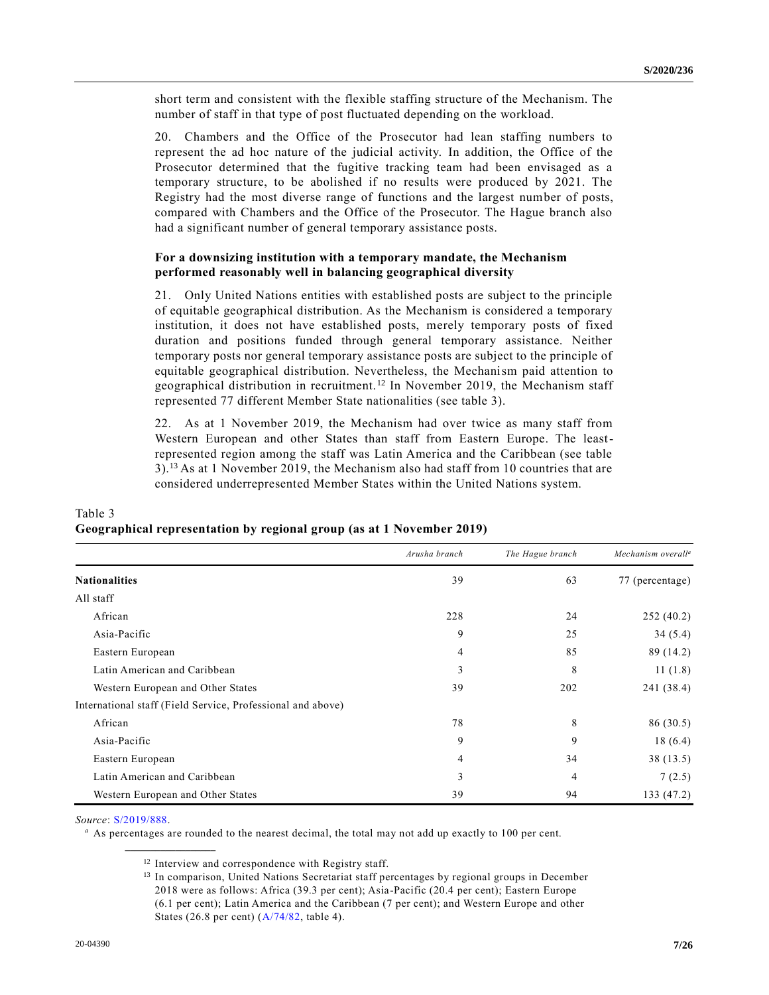short term and consistent with the flexible staffing structure of the Mechanism. The number of staff in that type of post fluctuated depending on the workload.

20. Chambers and the Office of the Prosecutor had lean staffing numbers to represent the ad hoc nature of the judicial activity. In addition, the Office of the Prosecutor determined that the fugitive tracking team had been envisaged as a temporary structure, to be abolished if no results were produced by 2021. The Registry had the most diverse range of functions and the largest number of posts, compared with Chambers and the Office of the Prosecutor. The Hague branch also had a significant number of general temporary assistance posts.

#### **For a downsizing institution with a temporary mandate, the Mechanism performed reasonably well in balancing geographical diversity**

21. Only United Nations entities with established posts are subject to the principle of equitable geographical distribution. As the Mechanism is considered a temporary institution, it does not have established posts, merely temporary posts of fixed duration and positions funded through general temporary assistance. Neither temporary posts nor general temporary assistance posts are subject to the principle of equitable geographical distribution. Nevertheless, the Mechanism paid attention to geographical distribution in recruitment. <sup>12</sup> In November 2019, the Mechanism staff represented 77 different Member State nationalities (see table 3).

22. As at 1 November 2019, the Mechanism had over twice as many staff from Western European and other States than staff from Eastern Europe. The leastrepresented region among the staff was Latin America and the Caribbean (see table 3).<sup>13</sup> As at 1 November 2019, the Mechanism also had staff from 10 countries that are considered underrepresented Member States within the United Nations system.

|                                                             | Arusha branch  | The Hague branch | Mechanism overall <sup>a</sup> |
|-------------------------------------------------------------|----------------|------------------|--------------------------------|
| <b>Nationalities</b>                                        | 39             | 63               | 77 (percentage)                |
| All staff                                                   |                |                  |                                |
| African                                                     | 228            | 24               | 252(40.2)                      |
| Asia-Pacific                                                | 9              | 25               | 34(5.4)                        |
| Eastern European                                            | 4              | 85               | 89 (14.2)                      |
| Latin American and Caribbean                                | 3              | 8                | 11(1.8)                        |
| Western European and Other States                           | 39             | 202              | 241 (38.4)                     |
| International staff (Field Service, Professional and above) |                |                  |                                |
| African                                                     | 78             | 8                | 86 (30.5)                      |
| Asia-Pacific                                                | 9              | 9                | 18(6.4)                        |
| Eastern European                                            | $\overline{4}$ | 34               | 38(13.5)                       |
| Latin American and Caribbean                                | 3              | 4                | 7(2.5)                         |
| Western European and Other States                           | 39             | 94               | 133 (47.2)                     |

# Table 3 **Geographical representation by regional group (as at 1 November 2019)**

*Source*: [S/2019/888.](https://undocs.org/en/S/2019/888)

**\_\_\_\_\_\_\_\_\_\_\_\_\_\_\_\_\_\_**

*<sup>a</sup>* As percentages are rounded to the nearest decimal, the total may not add up exactly to 100 per cent.

<sup>&</sup>lt;sup>12</sup> Interview and correspondence with Registry staff.

<sup>&</sup>lt;sup>13</sup> In comparison, United Nations Secretariat staff percentages by regional groups in December 2018 were as follows: Africa (39.3 per cent); Asia-Pacific (20.4 per cent); Eastern Europe (6.1 per cent); Latin America and the Caribbean (7 per cent); and Western Europe and other States (26.8 per cent) [\(A/74/82,](https://undocs.org/en/A/74/82) table 4).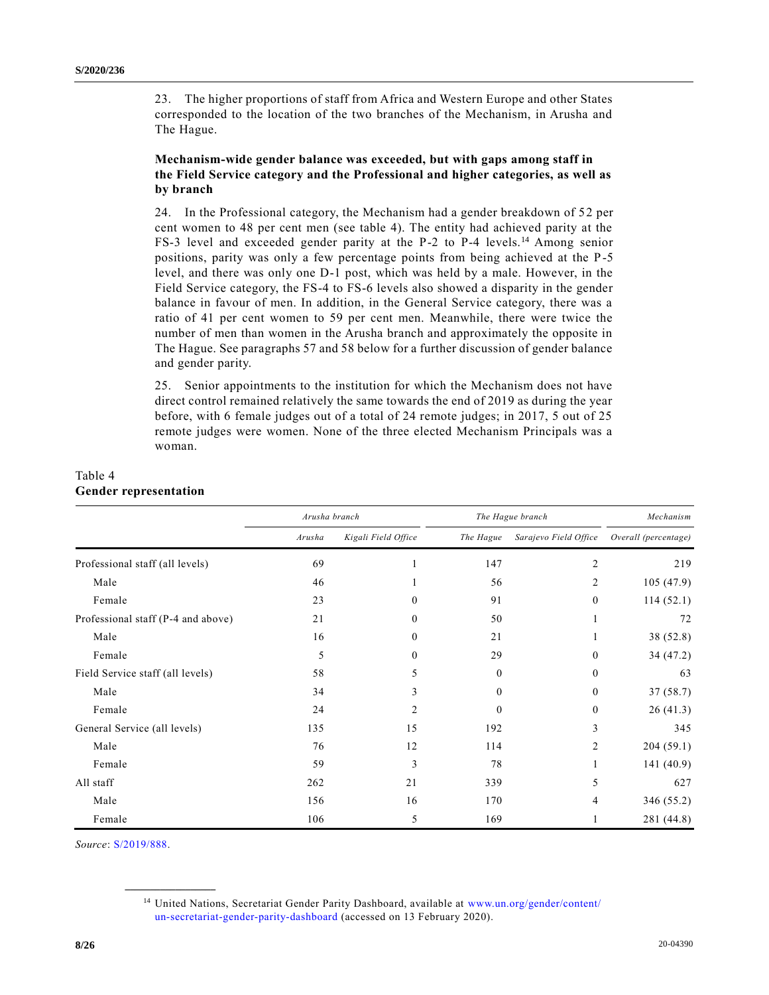23. The higher proportions of staff from Africa and Western Europe and other States corresponded to the location of the two branches of the Mechanism, in Arusha and The Hague.

### **Mechanism-wide gender balance was exceeded, but with gaps among staff in the Field Service category and the Professional and higher categories, as well as by branch**

24. In the Professional category, the Mechanism had a gender breakdown of 52 per cent women to 48 per cent men (see table 4). The entity had achieved parity at the FS-3 level and exceeded gender parity at the P-2 to P-4 levels.<sup>14</sup> Among senior positions, parity was only a few percentage points from being achieved at the P-5 level, and there was only one D-1 post, which was held by a male. However, in the Field Service category, the FS-4 to FS-6 levels also showed a disparity in the gender balance in favour of men. In addition, in the General Service category, there was a ratio of 41 per cent women to 59 per cent men. Meanwhile, there were twice the number of men than women in the Arusha branch and approximately the opposite in The Hague. See paragraphs 57 and 58 below for a further discussion of gender balance and gender parity.

25. Senior appointments to the institution for which the Mechanism does not have direct control remained relatively the same towards the end of 2019 as during the year before, with 6 female judges out of a total of 24 remote judges; in 2017, 5 out of 25 remote judges were women. None of the three elected Mechanism Principals was a woman.

|                                    | Arusha branch |                     | The Hague branch | Mechanism             |                      |
|------------------------------------|---------------|---------------------|------------------|-----------------------|----------------------|
|                                    | Arusha        | Kigali Field Office | The Hague        | Sarajevo Field Office | Overall (percentage) |
| Professional staff (all levels)    | 69            |                     | 147              | 2                     | 219                  |
| Male                               | 46            |                     | 56               | 2                     | 105(47.9)            |
| Female                             | 23            | $\theta$            | 91               | $\theta$              | 114(52.1)            |
| Professional staff (P-4 and above) | 21            | $\theta$            | 50               |                       | 72                   |
| Male                               | 16            | $\Omega$            | 21               |                       | 38 (52.8)            |
| Female                             | 5             | $\Omega$            | 29               | $\theta$              | 34 (47.2)            |
| Field Service staff (all levels)   | 58            | 5                   | $\mathbf{0}$     | $\theta$              | 63                   |
| Male                               | 34            | 3                   | $\theta$         | $\mathbf{0}$          | 37(58.7)             |
| Female                             | 24            | 2                   | $\theta$         | $\boldsymbol{0}$      | 26(41.3)             |
| General Service (all levels)       | 135           | 15                  | 192              | 3                     | 345                  |
| Male                               | 76            | 12                  | 114              | 2                     | 204(59.1)            |
| Female                             | 59            | 3                   | 78               |                       | 141(40.9)            |
| All staff                          | 262           | 21                  | 339              | 5                     | 627                  |
| Male                               | 156           | 16                  | 170              | 4                     | 346 (55.2)           |
| Female                             | 106           | 5                   | 169              |                       | 281 (44.8)           |

### Table 4 **Gender representation**

*Source*: [S/2019/888.](https://undocs.org/en/S/2019/888)

<sup>14</sup> United Nations, Secretariat Gender Parity Dashboard, available at [www.un.org/gender/content/](http://www.un.org/gender/content/un-secretariat-gender-parity-dashboard) [un-secretariat-gender-parity-dashboard](http://www.un.org/gender/content/un-secretariat-gender-parity-dashboard) (accessed on 13 February 2020).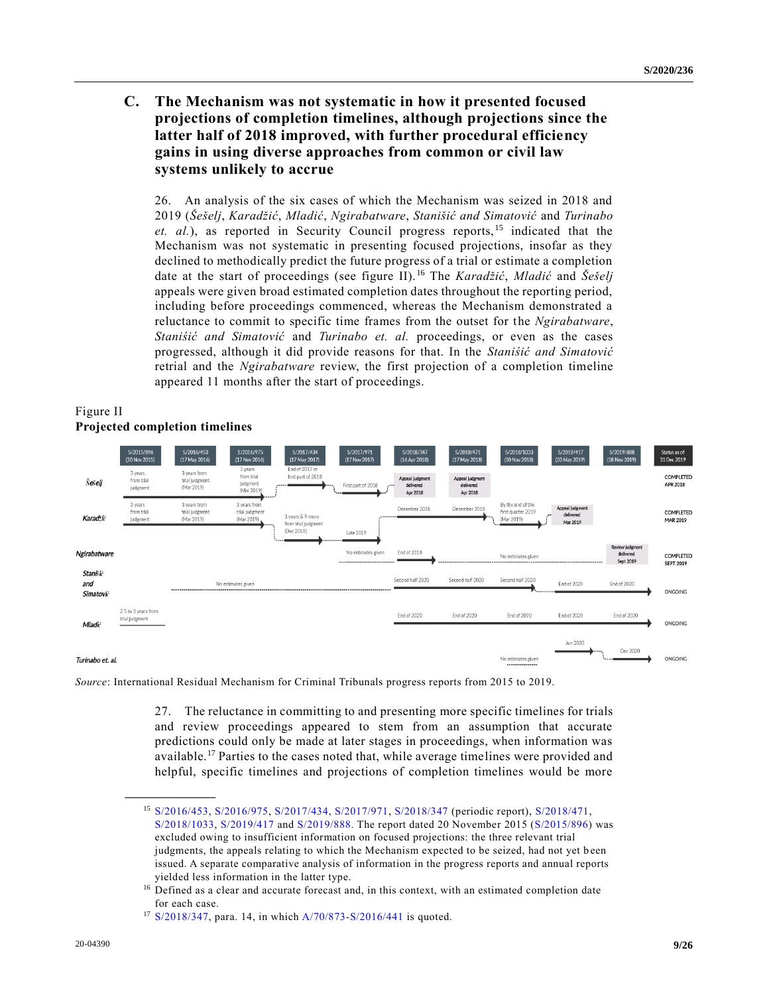## **C. The Mechanism was not systematic in how it presented focused projections of completion timelines, although projections since the latter half of 2018 improved, with further procedural efficiency gains in using diverse approaches from common or civil law systems unlikely to accrue**

26. An analysis of the six cases of which the Mechanism was seized in 2018 and 2019 (*Šešelj*, *Karadžić*, *Mladić*, *Ngirabatware*, *Stanišić and Simatović* and *Turinabo et. al.*), as reported in Security Council progress reports, <sup>15</sup> indicated that the Mechanism was not systematic in presenting focused projections, insofar as they declined to methodically predict the future progress of a trial or estimate a completion date at the start of proceedings (see figure II). <sup>16</sup> The *Karadžić*, *Mladić* and *Šešelj* appeals were given broad estimated completion dates throughout the reporting period, including before proceedings commenced, whereas the Mechanism demonstrated a reluctance to commit to specific time frames from the outset for the *Ngirabatware*, *Staniśić and Simatović* and *Turinabo et. al.* proceedings, or even as the cases progressed, although it did provide reasons for that. In the *Staniśić and Simatović* retrial and the *Ngirabatware* review, the first projection of a completion timeline appeared 11 months after the start of proceedings.



### Figure II **Projected completion timelines**

**\_\_\_\_\_\_\_\_\_\_\_\_\_\_\_\_\_\_**

*Source*: International Residual Mechanism for Criminal Tribunals progress reports from 2015 to 2019.

27. The reluctance in committing to and presenting more specific timelines for trials and review proceedings appeared to stem from an assumption that accurate predictions could only be made at later stages in proceedings, when information was available.<sup>17</sup> Parties to the cases noted that, while average timelines were provided and helpful, specific timelines and projections of completion timelines would be more

<sup>15</sup> [S/2016/453,](https://undocs.org/en/S/2016/453) [S/2016/975,](https://undocs.org/en/S/2016/975) [S/2017/434,](https://undocs.org/en/S/2017/434) [S/2017/971,](https://undocs.org/en/S/2017/971) [S/2018/347](https://undocs.org/en/S/2018/347) (periodic report), [S/2018/471,](https://undocs.org/en/S/2018/471) [S/2018/1033,](https://undocs.org/en/S/2018/1033) [S/2019/417](https://undocs.org/en/S/2019/417) and [S/2019/888.](https://undocs.org/en/S/2019/888) The report dated 20 November 2015 [\(S/2015/896\)](https://undocs.org/en/S/2015/896) was excluded owing to insufficient information on focused projections: the three relevant trial judgments, the appeals relating to which the Mechanism expected to be seized, had not yet b een issued. A separate comparative analysis of information in the progress reports and annual reports yielded less information in the latter type.

<sup>&</sup>lt;sup>16</sup> Defined as a clear and accurate forecast and, in this context, with an estimated completion date for each case.

<sup>17</sup> [S/2018/347,](https://undocs.org/en/S/2018/347) para. 14, in whic[h A/70/873-S/2016/441](https://undocs.org/en/A/70/873) is quoted.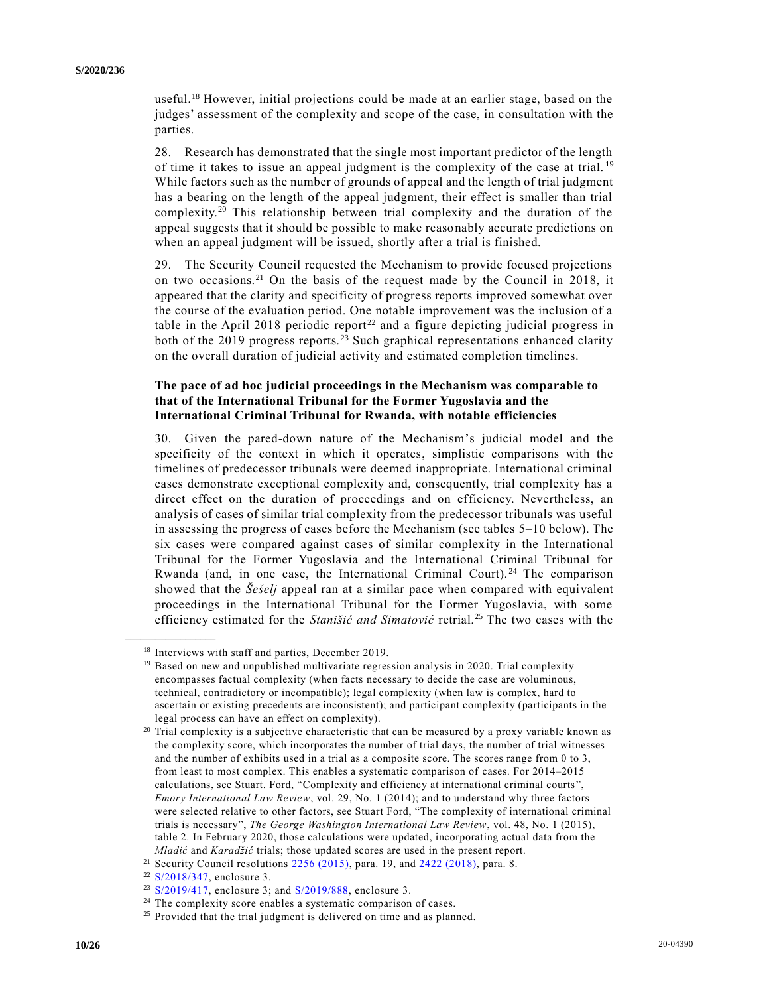useful.<sup>18</sup> However, initial projections could be made at an earlier stage, based on the judges' assessment of the complexity and scope of the case, in consultation with the parties.

28. Research has demonstrated that the single most important predictor of the length of time it takes to issue an appeal judgment is the complexity of the case at trial. <sup>19</sup> While factors such as the number of grounds of appeal and the length of trial judgment has a bearing on the length of the appeal judgment, their effect is smaller than trial complexity.<sup>20</sup> This relationship between trial complexity and the duration of the appeal suggests that it should be possible to make reasonably accurate predictions on when an appeal judgment will be issued, shortly after a trial is finished.

29. The Security Council requested the Mechanism to provide focused projections on two occasions.<sup>21</sup> On the basis of the request made by the Council in 2018, it appeared that the clarity and specificity of progress reports improved somewhat over the course of the evaluation period. One notable improvement was the inclusion of a table in the April 2018 periodic report<sup>22</sup> and a figure depicting judicial progress in both of the  $2019$  progress reports.<sup>23</sup> Such graphical representations enhanced clarity on the overall duration of judicial activity and estimated completion timelines.

### **The pace of ad hoc judicial proceedings in the Mechanism was comparable to that of the International Tribunal for the Former Yugoslavia and the International Criminal Tribunal for Rwanda, with notable efficiencies**

30. Given the pared-down nature of the Mechanism's judicial model and the specificity of the context in which it operates, simplistic comparisons with the timelines of predecessor tribunals were deemed inappropriate. International criminal cases demonstrate exceptional complexity and, consequently, trial complexity has a direct effect on the duration of proceedings and on efficiency. Nevertheless, an analysis of cases of similar trial complexity from the predecessor tribunals was useful in assessing the progress of cases before the Mechanism (see tables 5–10 below). The six cases were compared against cases of similar complexity in the International Tribunal for the Former Yugoslavia and the International Criminal Tribunal for Rwanda (and, in one case, the International Criminal Court).<sup>24</sup> The comparison showed that the *Šešelj* appeal ran at a similar pace when compared with equivalent proceedings in the International Tribunal for the Former Yugoslavia, with some efficiency estimated for the *Stanišić and Simatović* retrial.<sup>25</sup> The two cases with the

<sup>&</sup>lt;sup>18</sup> Interviews with staff and parties, December 2019.

<sup>&</sup>lt;sup>19</sup> Based on new and unpublished multivariate regression analysis in 2020. Trial complexity encompasses factual complexity (when facts necessary to decide the case are voluminous, technical, contradictory or incompatible); legal complexity (when law is complex, hard to ascertain or existing precedents are inconsistent); and participant complexity (participants in the legal process can have an effect on complexity).

 $20$  Trial complexity is a subjective characteristic that can be measured by a proxy variable known as the complexity score, which incorporates the number of trial days, the number of trial witnesses and the number of exhibits used in a trial as a composite score. The scores range from 0 to 3, from least to most complex. This enables a systematic comparison of cases. For 2014–2015 calculations, see Stuart. Ford, "Complexity and efficiency at international criminal courts", *Emory International Law Review*, vol. 29, No. 1 (2014); and to understand why three factors were selected relative to other factors, see Stuart Ford, "The complexity of international criminal trials is necessary", *The George Washington International Law Review*, vol. 48, No. 1 (2015), table 2. In February 2020, those calculations were updated, incorporating actual data from the *Mladić* and *Karadžić* trials; those updated scores are used in the present report.

<sup>&</sup>lt;sup>21</sup> Security Council resolutions  $2256 (2015)$ , para. 19, and  $2422 (2018)$ , para. 8.

<sup>22</sup> [S/2018/347,](https://undocs.org/en/S/2018/347) enclosure 3.

<sup>23</sup> [S/2019/417,](https://undocs.org/en/S/2019/417) enclosure 3; and [S/2019/888,](https://undocs.org/en/S/2019/888) enclosure 3.

<sup>&</sup>lt;sup>24</sup> The complexity score enables a systematic comparison of cases.

<sup>&</sup>lt;sup>25</sup> Provided that the trial judgment is delivered on time and as planned.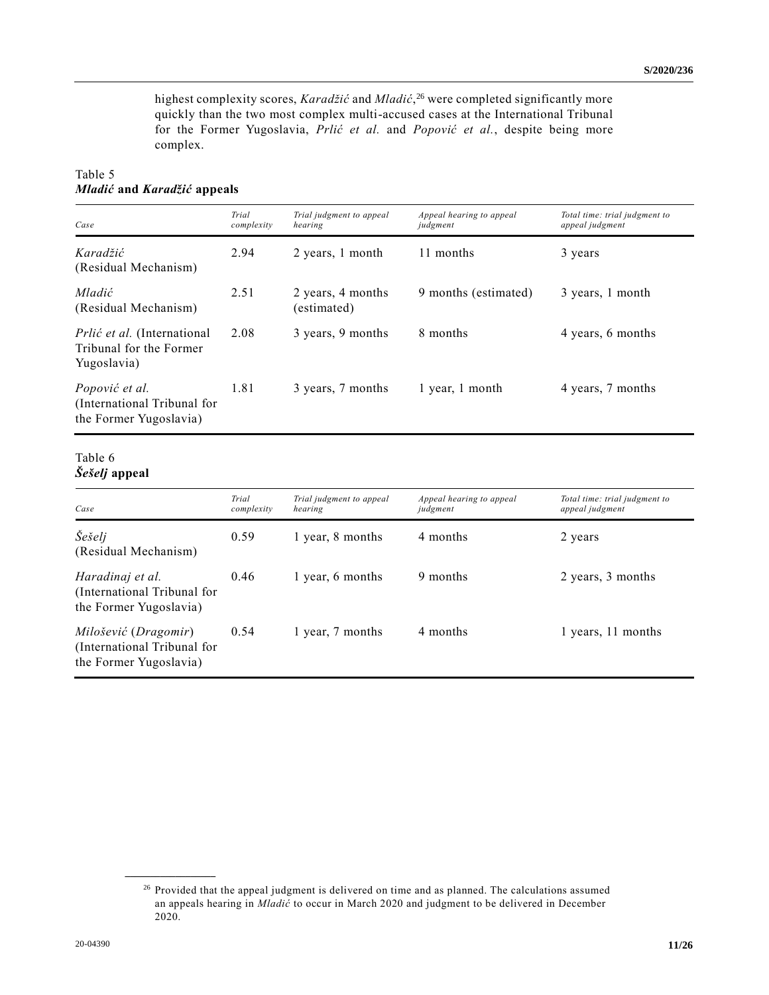highest complexity scores, *Karadžić* and *Mladić*, <sup>26</sup> were completed significantly more quickly than the two most complex multi-accused cases at the International Tribunal for the Former Yugoslavia, *Prlić et al.* and *Popović et al.*, despite being more complex.

## Table 5 *Mladić* **and** *Karadžić* **appeals**

| Case                                                                         | Trial<br>complexity | Trial judgment to appeal<br>hearing | Appeal hearing to appeal<br>judgment | Total time: trial judgment to<br>appeal judgment |
|------------------------------------------------------------------------------|---------------------|-------------------------------------|--------------------------------------|--------------------------------------------------|
| Karadžić<br>(Residual Mechanism)                                             | 2.94                | 2 years, 1 month                    | 11 months                            | 3 years                                          |
| Mladić<br>(Residual Mechanism)                                               | 2.51                | 2 years, 4 months<br>(estimated)    | 9 months (estimated)                 | 3 years, 1 month                                 |
| <i>Prlić et al.</i> (International<br>Tribunal for the Former<br>Yugoslavia) | 2.08                | 3 years, 9 months                   | 8 months                             | 4 years, 6 months                                |
| Popović et al.<br>(International Tribunal for<br>the Former Yugoslavia)      | 1.81                | 3 years, 7 months                   | 1 year, 1 month                      | 4 years, 7 months                                |

### Table 6 *Šešelj* **appeal**

| Case                                                                          | Trial<br>complexity | Trial judgment to appeal<br>hearing | Appeal hearing to appeal<br>judgment | Total time: trial judgment to<br>appeal judgment |
|-------------------------------------------------------------------------------|---------------------|-------------------------------------|--------------------------------------|--------------------------------------------------|
| Šešelj<br>(Residual Mechanism)                                                | 0.59                | 1 year, 8 months                    | 4 months                             | 2 years                                          |
| Haradinaj et al.<br>(International Tribunal for<br>the Former Yugoslavia)     | 0.46                | 1 year, 6 months                    | 9 months                             | 2 years, 3 months                                |
| Milošević (Dragomir)<br>(International Tribunal for<br>the Former Yugoslavia) | 0.54                | 1 year, 7 months                    | 4 months                             | 1 years, 11 months                               |

<sup>&</sup>lt;sup>26</sup> Provided that the appeal judgment is delivered on time and as planned. The calculations assumed an appeals hearing in *Mladić* to occur in March 2020 and judgment to be delivered in December 2020.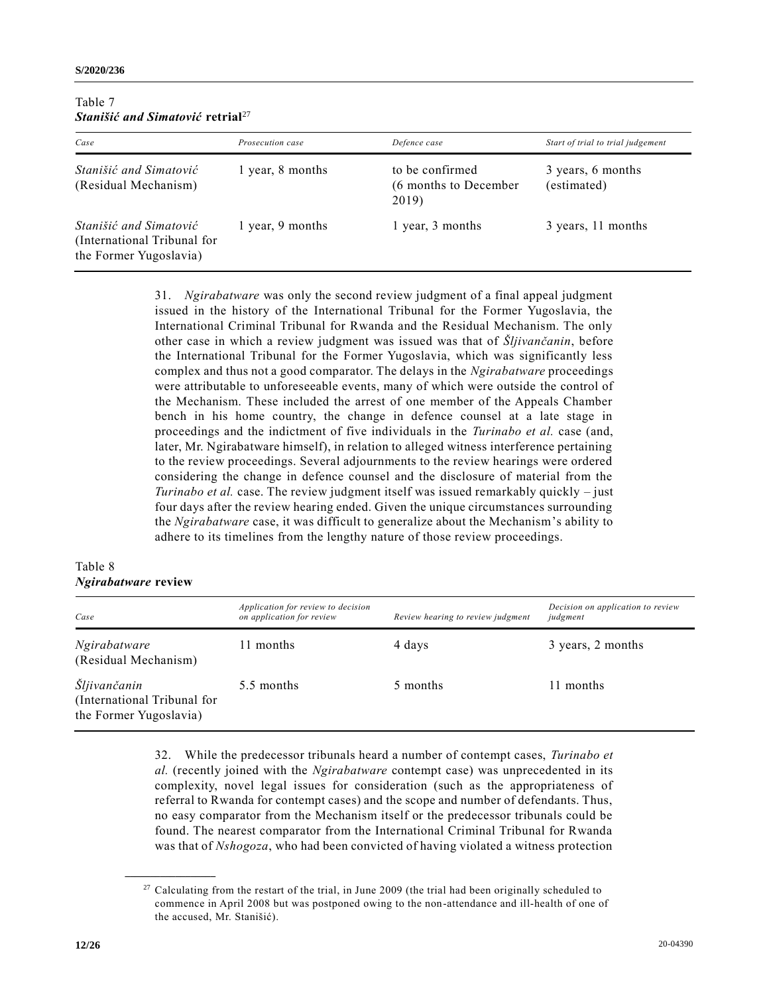| Table 7 |                                                    |  |
|---------|----------------------------------------------------|--|
|         | <i>Stanišić and Simatović retrial<sup>27</sup></i> |  |

| Case                                                                            | Prosecution case | Defence case                                      | Start of trial to trial judgement |
|---------------------------------------------------------------------------------|------------------|---------------------------------------------------|-----------------------------------|
| Stanišić and Simatović<br>(Residual Mechanism)                                  | 1 year, 8 months | to be confirmed<br>(6 months to December<br>2019) | 3 years, 6 months<br>(estimated)  |
| Stanišić and Simatović<br>(International Tribunal for<br>the Former Yugoslavia) | 1 year, 9 months | 1 year, 3 months                                  | 3 years, 11 months                |

31. *Ngirabatware* was only the second review judgment of a final appeal judgment issued in the history of the International Tribunal for the Former Yugoslavia, the International Criminal Tribunal for Rwanda and the Residual Mechanism. The only other case in which a review judgment was issued was that of *Šljivančanin*, before the International Tribunal for the Former Yugoslavia, which was significantly less complex and thus not a good comparator. The delays in the *Ngirabatware* proceedings were attributable to unforeseeable events, many of which were outside the control of the Mechanism. These included the arrest of one member of the Appeals Chamber bench in his home country, the change in defence counsel at a late stage in proceedings and the indictment of five individuals in the *Turinabo et al.* case (and, later, Mr. Ngirabatware himself), in relation to alleged witness interference pertaining to the review proceedings. Several adjournments to the review hearings were ordered considering the change in defence counsel and the disclosure of material from the *Turinabo et al.* case. The review judgment itself was issued remarkably quickly – just four days after the review hearing ended. Given the unique circumstances surrounding the *Ngirabatware* case, it was difficult to generalize about the Mechanism's ability to adhere to its timelines from the lengthy nature of those review proceedings.

### Table 8 *Ngirabatware* **review**

| Case                                                                  | Application for review to decision<br>on application for review | Review hearing to review judgment | Decision on application to review<br>judgment |
|-----------------------------------------------------------------------|-----------------------------------------------------------------|-----------------------------------|-----------------------------------------------|
| Ngirabatware<br>(Residual Mechanism)                                  | 11 months                                                       | 4 days                            | 3 years, 2 months                             |
| Šljivančanin<br>(International Tribunal for<br>the Former Yugoslavia) | 5.5 months                                                      | 5 months                          | 11 months                                     |

32. While the predecessor tribunals heard a number of contempt cases, *Turinabo et al.* (recently joined with the *Ngirabatware* contempt case) was unprecedented in its complexity, novel legal issues for consideration (such as the appropriateness of referral to Rwanda for contempt cases) and the scope and number of defendants. Thus, no easy comparator from the Mechanism itself or the predecessor tribunals could be found. The nearest comparator from the International Criminal Tribunal for Rwanda was that of *Nshogoza*, who had been convicted of having violated a witness protection

<sup>&</sup>lt;sup>27</sup> Calculating from the restart of the trial, in June 2009 (the trial had been originally scheduled to commence in April 2008 but was postponed owing to the non-attendance and ill-health of one of the accused, Mr. Stanišić).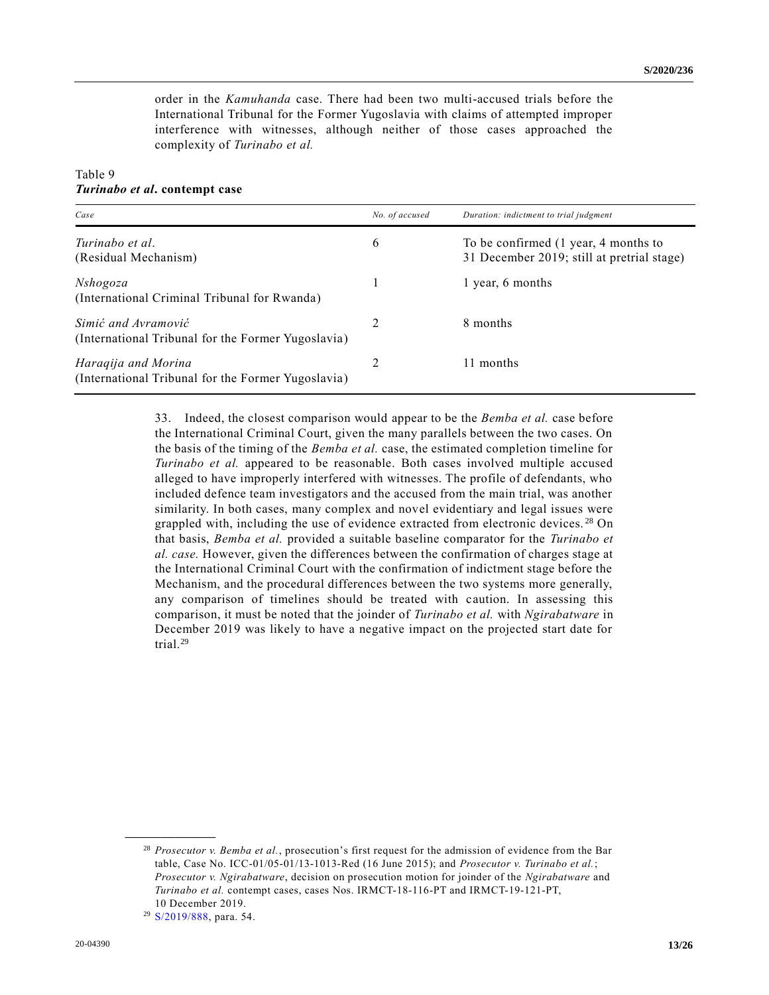order in the *Kamuhanda* case. There had been two multi-accused trials before the International Tribunal for the Former Yugoslavia with claims of attempted improper interference with witnesses, although neither of those cases approached the complexity of *Turinabo et al.*

#### Table 9 *Turinabo et al***. contempt case**

| Case                                                                      | No. of accused | Duration: indictment to trial judgment                                             |
|---------------------------------------------------------------------------|----------------|------------------------------------------------------------------------------------|
| Turinabo et al.<br>(Residual Mechanism)                                   | 6              | To be confirmed (1 year, 4 months to<br>31 December 2019; still at pretrial stage) |
| <i>Nshogoza</i><br>(International Criminal Tribunal for Rwanda)           |                | 1 year, 6 months                                                                   |
| Simić and Avramović<br>(International Tribunal for the Former Yugoslavia) |                | 8 months                                                                           |
| Haraqija and Morina<br>(International Tribunal for the Former Yugoslavia) |                | 11 months                                                                          |

33. Indeed, the closest comparison would appear to be the *Bemba et al.* case before the International Criminal Court, given the many parallels between the two cases. On the basis of the timing of the *Bemba et al.* case, the estimated completion timeline for *Turinabo et al.* appeared to be reasonable. Both cases involved multiple accused alleged to have improperly interfered with witnesses. The profile of defendants, who included defence team investigators and the accused from the main trial, was another similarity. In both cases, many complex and novel evidentiary and legal issues were grappled with, including the use of evidence extracted from electronic devices.<sup>28</sup> On that basis, *Bemba et al.* provided a suitable baseline comparator for the *Turinabo et al. case.* However, given the differences between the confirmation of charges stage at the International Criminal Court with the confirmation of indictment stage before the Mechanism, and the procedural differences between the two systems more generally, any comparison of timelines should be treated with caution. In assessing this comparison, it must be noted that the joinder of *Turinabo et al.* with *Ngirabatware* in December 2019 was likely to have a negative impact on the projected start date for trial.<sup>29</sup>

<sup>28</sup> *Prosecutor v. Bemba et al.*, prosecution's first request for the admission of evidence from the Bar table, Case No. ICC-01/05-01/13-1013-Red (16 June 2015); and *Prosecutor v. Turinabo et al.*; *Prosecutor v. Ngirabatware*, decision on prosecution motion for joinder of the *Ngirabatware* and *Turinabo et al.* contempt cases, cases Nos. IRMCT-18-116-PT and IRMCT-19-121-PT, 10 December 2019.

<sup>29</sup> [S/2019/888,](https://undocs.org/en/S/2019/888) para. 54.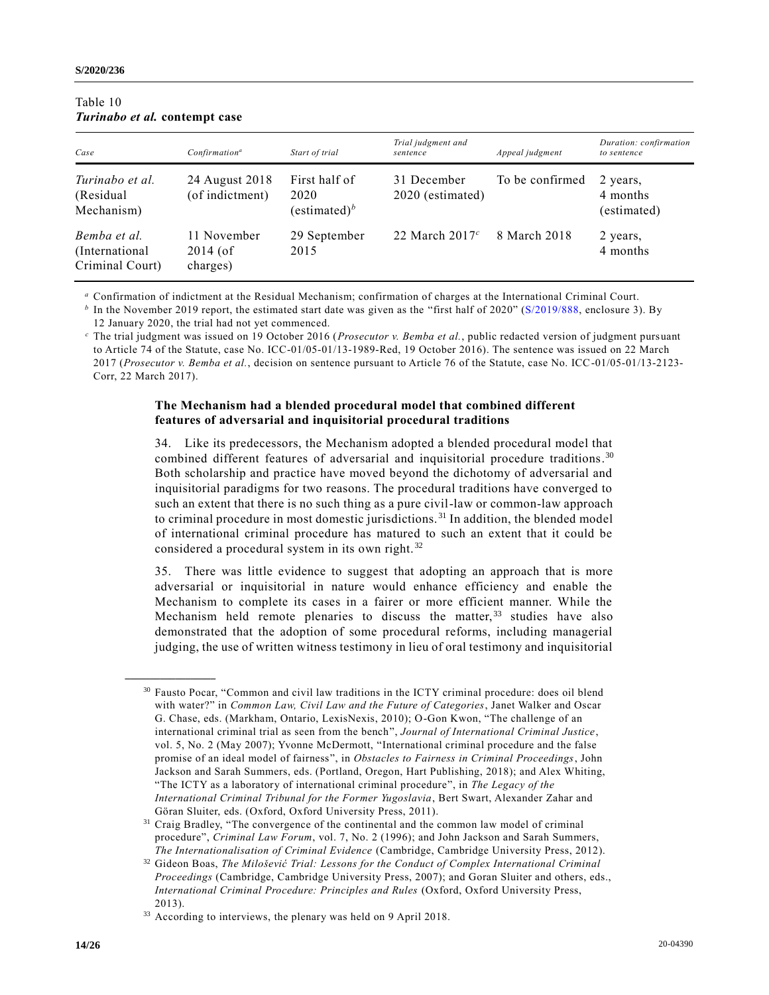| Case                                               | Confirmation <sup>a</sup>             | Start of trial                                    | Trial judgment and<br>sentence  | Appeal judgment | Duration: confirmation<br>to sentence |
|----------------------------------------------------|---------------------------------------|---------------------------------------------------|---------------------------------|-----------------|---------------------------------------|
| Turinabo et al.<br>(Residual)<br>Mechanism)        | 24 August 2018<br>(of indictment)     | First half of<br>2020<br>(estimated) <sup>b</sup> | 31 December<br>2020 (estimated) | To be confirmed | 2 years,<br>4 months<br>(estimated)   |
| Bemba et al.<br>(International)<br>Criminal Court) | 11 November<br>$2014$ (of<br>charges) | 29 September<br>2015                              | 22 March $2017c$                | 8 March 2018    | 2 years,<br>4 months                  |

### Table 10 *Turinabo et al.* **contempt case**

**\_\_\_\_\_\_\_\_\_\_\_\_\_\_\_\_\_\_**

*<sup>a</sup>* Confirmation of indictment at the Residual Mechanism; confirmation of charges at the International Criminal Court.

<sup>*b*</sup> In the November 2019 report, the estimated start date was given as the "first half of 2020" [\(S/2019/888,](https://undocs.org/en/S/2019/888) enclosure 3). By 12 January 2020, the trial had not yet commenced.

*<sup>c</sup>* The trial judgment was issued on 19 October 2016 (*Prosecutor v. Bemba et al.*, public redacted version of judgment pursuant to Article 74 of the Statute, case No. ICC-01/05-01/13-1989-Red, 19 October 2016). The sentence was issued on 22 March 2017 (*Prosecutor v. Bemba et al.*, decision on sentence pursuant to Article 76 of the Statute, case No. ICC-01/05-01/13-2123- Corr, 22 March 2017).

#### **The Mechanism had a blended procedural model that combined different features of adversarial and inquisitorial procedural traditions**

34. Like its predecessors, the Mechanism adopted a blended procedural model that combined different features of adversarial and inquisitorial procedure traditions. 30 Both scholarship and practice have moved beyond the dichotomy of adversarial and inquisitorial paradigms for two reasons. The procedural traditions have converged to such an extent that there is no such thing as a pure civil-law or common-law approach to criminal procedure in most domestic jurisdictions.<sup>31</sup> In addition, the blended model of international criminal procedure has matured to such an extent that it could be considered a procedural system in its own right. <sup>32</sup>

35. There was little evidence to suggest that adopting an approach that is more adversarial or inquisitorial in nature would enhance efficiency and enable the Mechanism to complete its cases in a fairer or more efficient manner. While the Mechanism held remote plenaries to discuss the matter,<sup>33</sup> studies have also demonstrated that the adoption of some procedural reforms, including managerial judging, the use of written witness testimony in lieu of oral testimony and inquisitorial

<sup>&</sup>lt;sup>30</sup> Fausto Pocar, "Common and civil law traditions in the ICTY criminal procedure: does oil blend with water?" in *Common Law, Civil Law and the Future of Categories*, Janet Walker and Oscar G. Chase, eds. (Markham, Ontario, LexisNexis, 2010); O-Gon Kwon, "The challenge of an international criminal trial as seen from the bench", *Journal of International Criminal Justice*, vol. 5, No. 2 (May 2007); Yvonne McDermott, "International criminal procedure and the false promise of an ideal model of fairness", in *Obstacles to Fairness in Criminal Proceedings*, John Jackson and Sarah Summers, eds. (Portland, Oregon, Hart Publishing, 2018); and Alex Whiting, "The ICTY as a laboratory of international criminal procedure", in *The Legacy of the International Criminal Tribunal for the Former Yugoslavia*, Bert Swart, Alexander Zahar and Göran Sluiter, eds. (Oxford, Oxford University Press, 2011).

<sup>&</sup>lt;sup>31</sup> Craig Bradley, "The convergence of the continental and the common law model of criminal procedure", *Criminal Law Forum*, vol. 7, No. 2 (1996); and John Jackson and Sarah Summers, *The Internationalisation of Criminal Evidence* (Cambridge, Cambridge University Press, 2012).

<sup>32</sup> Gideon Boas, *The Milošević Trial: Lessons for the Conduct of Complex International Criminal Proceedings* (Cambridge, Cambridge University Press, 2007); and Goran Sluiter and others, eds., *International Criminal Procedure: Principles and Rules* (Oxford, Oxford University Press, 2013).

<sup>&</sup>lt;sup>33</sup> According to interviews, the plenary was held on 9 April 2018.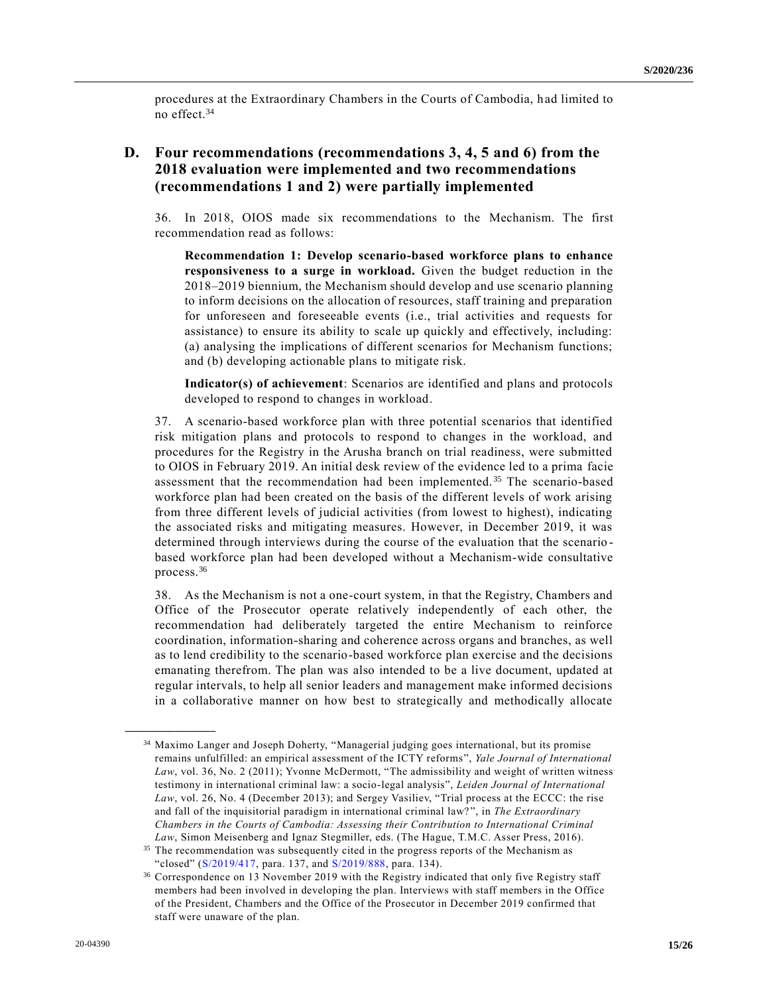procedures at the Extraordinary Chambers in the Courts of Cambodia, had limited to no effect.<sup>34</sup>

## **D. Four recommendations (recommendations 3, 4, 5 and 6) from the 2018 evaluation were implemented and two recommendations (recommendations 1 and 2) were partially implemented**

36. In 2018, OIOS made six recommendations to the Mechanism. The first recommendation read as follows:

**Recommendation 1: Develop scenario-based workforce plans to enhance responsiveness to a surge in workload.** Given the budget reduction in the 2018–2019 biennium, the Mechanism should develop and use scenario planning to inform decisions on the allocation of resources, staff training and preparation for unforeseen and foreseeable events (i.e., trial activities and requests for assistance) to ensure its ability to scale up quickly and effectively, including: (a) analysing the implications of different scenarios for Mechanism functions; and (b) developing actionable plans to mitigate risk.

**Indicator(s) of achievement**: Scenarios are identified and plans and protocols developed to respond to changes in workload.

37. A scenario-based workforce plan with three potential scenarios that identified risk mitigation plans and protocols to respond to changes in the workload, and procedures for the Registry in the Arusha branch on trial readiness, were submitted to OIOS in February 2019. An initial desk review of the evidence led to a prima facie assessment that the recommendation had been implemented. <sup>35</sup> The scenario-based workforce plan had been created on the basis of the different levels of work arising from three different levels of judicial activities (from lowest to highest), indicating the associated risks and mitigating measures. However, in December 2019, it was determined through interviews during the course of the evaluation that the scenario based workforce plan had been developed without a Mechanism-wide consultative process.<sup>36</sup>

38. As the Mechanism is not a one-court system, in that the Registry, Chambers and Office of the Prosecutor operate relatively independently of each other, the recommendation had deliberately targeted the entire Mechanism to reinforce coordination, information-sharing and coherence across organs and branches, as well as to lend credibility to the scenario-based workforce plan exercise and the decisions emanating therefrom. The plan was also intended to be a live document, updated at regular intervals, to help all senior leaders and management make informed decisions in a collaborative manner on how best to strategically and methodically allocate

<sup>34</sup> Maximo Langer and Joseph Doherty, "Managerial judging goes international, but its promise remains unfulfilled: an empirical assessment of the ICTY reforms", *Yale Journal of International Law*, vol. 36, No. 2 (2011); Yvonne McDermott, "The admissibility and weight of written witness testimony in international criminal law: a socio-legal analysis", *Leiden Journal of International Law*, vol. 26, No. 4 (December 2013); and Sergey Vasiliev, "Trial process at the ECCC: the rise and fall of the inquisitorial paradigm in international criminal law? ", in *The Extraordinary Chambers in the Courts of Cambodia: Assessing their Contribution to International Criminal Law*, Simon Meisenberg and Ignaz Stegmiller, eds. (The Hague, T.M.C. Asser Press, 2016).

<sup>&</sup>lt;sup>35</sup> The recommendation was subsequently cited in the progress reports of the Mechanism as "closed" [\(S/2019/417,](https://undocs.org/en/S/2019/417) para. 137, and [S/2019/888,](https://undocs.org/en/S/2019/888) para. 134).

<sup>&</sup>lt;sup>36</sup> Correspondence on 13 November 2019 with the Registry indicated that only five Registry staff members had been involved in developing the plan. Interviews with staff members in the Office of the President, Chambers and the Office of the Prosecutor in December 2019 confirmed that staff were unaware of the plan.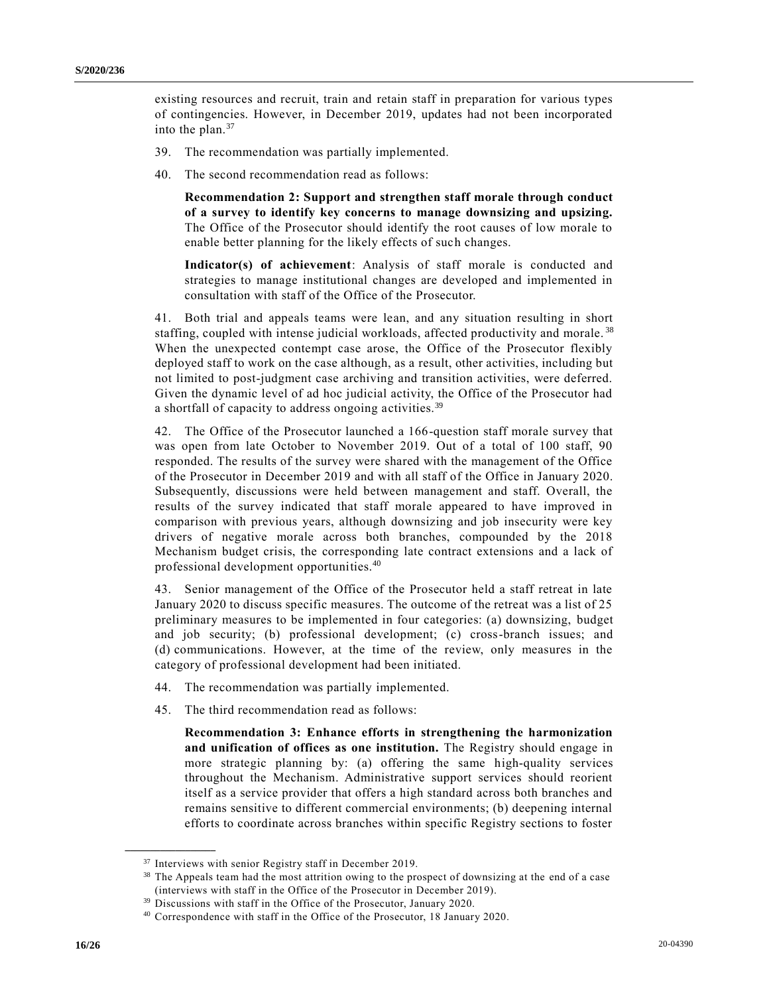existing resources and recruit, train and retain staff in preparation for various types of contingencies. However, in December 2019, updates had not been incorporated into the plan. $37$ 

- 39. The recommendation was partially implemented.
- 40. The second recommendation read as follows:

**Recommendation 2: Support and strengthen staff morale through conduct of a survey to identify key concerns to manage downsizing and upsizing.** The Office of the Prosecutor should identify the root causes of low morale to enable better planning for the likely effects of such changes.

**Indicator(s) of achievement**: Analysis of staff morale is conducted and strategies to manage institutional changes are developed and implemented in consultation with staff of the Office of the Prosecutor.

41. Both trial and appeals teams were lean, and any situation resulting in short staffing, coupled with intense judicial workloads, affected productivity and morale. <sup>38</sup> When the unexpected contempt case arose, the Office of the Prosecutor flexibly deployed staff to work on the case although, as a result, other activities, including but not limited to post-judgment case archiving and transition activities, were deferred. Given the dynamic level of ad hoc judicial activity, the Office of the Prosecutor had a shortfall of capacity to address ongoing activities.<sup>39</sup>

42. The Office of the Prosecutor launched a 166-question staff morale survey that was open from late October to November 2019. Out of a total of 100 staff, 90 responded. The results of the survey were shared with the management of the Office of the Prosecutor in December 2019 and with all staff of the Office in January 2020. Subsequently, discussions were held between management and staff. Overall, the results of the survey indicated that staff morale appeared to have improved in comparison with previous years, although downsizing and job insecurity were key drivers of negative morale across both branches, compounded by the 2018 Mechanism budget crisis, the corresponding late contract extensions and a lack of professional development opportunities.<sup>40</sup>

43. Senior management of the Office of the Prosecutor held a staff retreat in late January 2020 to discuss specific measures. The outcome of the retreat was a list of 25 preliminary measures to be implemented in four categories: (a) downsizing, budget and job security; (b) professional development; (c) cross-branch issues; and (d) communications. However, at the time of the review, only measures in the category of professional development had been initiated.

- 44. The recommendation was partially implemented.
- 45. The third recommendation read as follows:

**Recommendation 3: Enhance efforts in strengthening the harmonization and unification of offices as one institution.** The Registry should engage in more strategic planning by: (a) offering the same high-quality services throughout the Mechanism. Administrative support services should reorient itself as a service provider that offers a high standard across both branches and remains sensitive to different commercial environments; (b) deepening internal efforts to coordinate across branches within specific Registry sections to foster

<sup>&</sup>lt;sup>37</sup> Interviews with senior Registry staff in December 2019.

<sup>38</sup> The Appeals team had the most attrition owing to the prospect of downsizing at the end of a case (interviews with staff in the Office of the Prosecutor in December 2019).

<sup>&</sup>lt;sup>39</sup> Discussions with staff in the Office of the Prosecutor, January 2020.

<sup>40</sup> Correspondence with staff in the Office of the Prosecutor, 18 January 2020.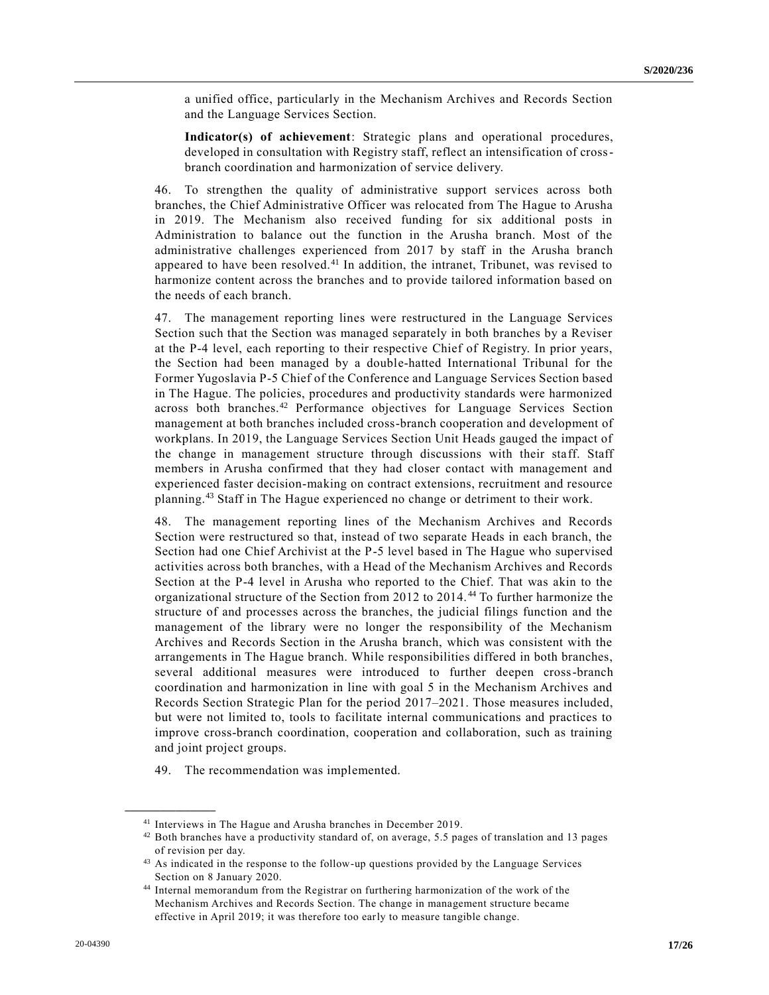a unified office, particularly in the Mechanism Archives and Records Section and the Language Services Section.

**Indicator(s) of achievement**: Strategic plans and operational procedures, developed in consultation with Registry staff, reflect an intensification of crossbranch coordination and harmonization of service delivery.

46. To strengthen the quality of administrative support services across both branches, the Chief Administrative Officer was relocated from The Hague to Arusha in 2019. The Mechanism also received funding for six additional posts in Administration to balance out the function in the Arusha branch. Most of the administrative challenges experienced from 2017 by staff in the Arusha branch appeared to have been resolved.<sup>41</sup> In addition, the intranet, Tribunet, was revised to harmonize content across the branches and to provide tailored information based on the needs of each branch.

47. The management reporting lines were restructured in the Language Services Section such that the Section was managed separately in both branches by a Reviser at the P-4 level, each reporting to their respective Chief of Registry. In prior years, the Section had been managed by a double-hatted International Tribunal for the Former Yugoslavia P-5 Chief of the Conference and Language Services Section based in The Hague. The policies, procedures and productivity standards were harmonized across both branches.<sup>42</sup> Performance objectives for Language Services Section management at both branches included cross-branch cooperation and development of workplans. In 2019, the Language Services Section Unit Heads gauged the impact of the change in management structure through discussions with their staff. Staff members in Arusha confirmed that they had closer contact with management and experienced faster decision-making on contract extensions, recruitment and resource planning.<sup>43</sup> Staff in The Hague experienced no change or detriment to their work.

48. The management reporting lines of the Mechanism Archives and Records Section were restructured so that, instead of two separate Heads in each branch, the Section had one Chief Archivist at the P-5 level based in The Hague who supervised activities across both branches, with a Head of the Mechanism Archives and Records Section at the P-4 level in Arusha who reported to the Chief. That was akin to the organizational structure of the Section from 2012 to 2014. <sup>44</sup> To further harmonize the structure of and processes across the branches, the judicial filings function and the management of the library were no longer the responsibility of the Mechanism Archives and Records Section in the Arusha branch, which was consistent with the arrangements in The Hague branch. While responsibilities differed in both branches, several additional measures were introduced to further deepen cross-branch coordination and harmonization in line with goal 5 in the Mechanism Archives and Records Section Strategic Plan for the period 2017–2021. Those measures included, but were not limited to, tools to facilitate internal communications and practices to improve cross-branch coordination, cooperation and collaboration, such as training and joint project groups.

49. The recommendation was implemented.

<sup>41</sup> Interviews in The Hague and Arusha branches in December 2019.

<sup>42</sup> Both branches have a productivity standard of, on average, 5.5 pages of translation and 13 pages of revision per day.

<sup>43</sup> As indicated in the response to the follow-up questions provided by the Language Services Section on 8 January 2020.

<sup>44</sup> Internal memorandum from the Registrar on furthering harmonization of the work of the Mechanism Archives and Records Section. The change in management structure became effective in April 2019; it was therefore too early to measure tangible change.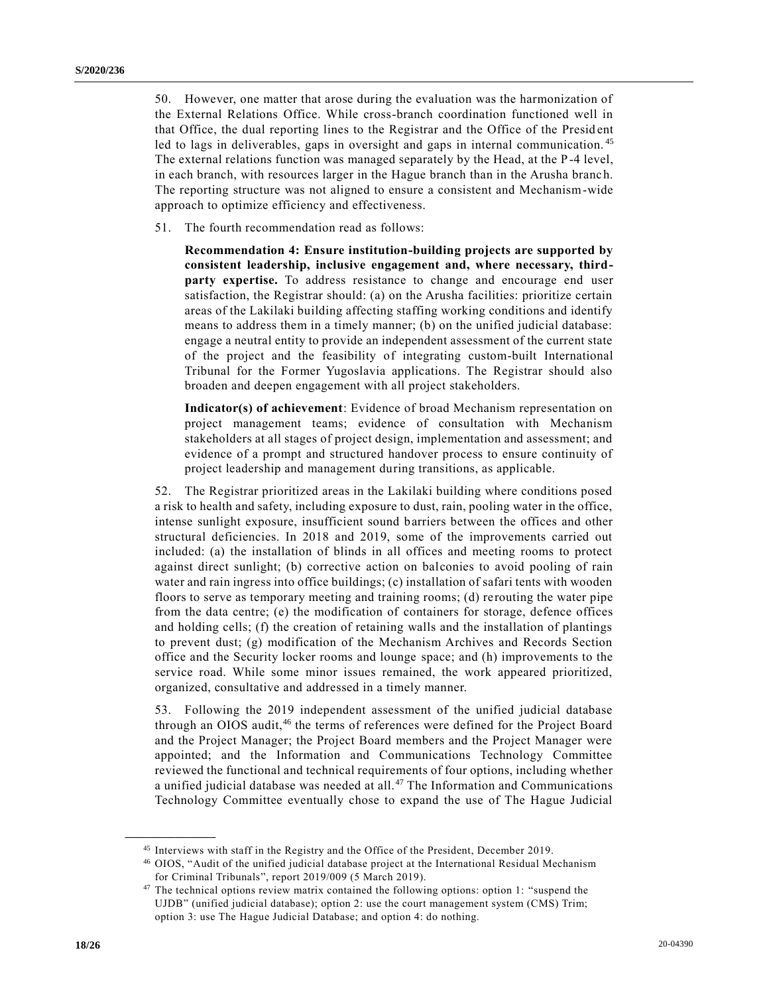50. However, one matter that arose during the evaluation was the harmonization of the External Relations Office. While cross-branch coordination functioned well in that Office, the dual reporting lines to the Registrar and the Office of the Presid ent led to lags in deliverables, gaps in oversight and gaps in internal communication.<sup>45</sup> The external relations function was managed separately by the Head, at the P-4 level, in each branch, with resources larger in the Hague branch than in the Arusha branc h. The reporting structure was not aligned to ensure a consistent and Mechanism-wide approach to optimize efficiency and effectiveness.

51. The fourth recommendation read as follows:

**Recommendation 4: Ensure institution-building projects are supported by consistent leadership, inclusive engagement and, where necessary, thirdparty expertise.** To address resistance to change and encourage end user satisfaction, the Registrar should: (a) on the Arusha facilities: prioritize certain areas of the Lakilaki building affecting staffing working conditions and identify means to address them in a timely manner; (b) on the unified judicial database: engage a neutral entity to provide an independent assessment of the current state of the project and the feasibility of integrating custom-built International Tribunal for the Former Yugoslavia applications. The Registrar should also broaden and deepen engagement with all project stakeholders.

**Indicator(s) of achievement**: Evidence of broad Mechanism representation on project management teams; evidence of consultation with Mechanism stakeholders at all stages of project design, implementation and assessment; and evidence of a prompt and structured handover process to ensure continuity of project leadership and management during transitions, as applicable.

52. The Registrar prioritized areas in the Lakilaki building where conditions posed a risk to health and safety, including exposure to dust, rain, pooling water in the office, intense sunlight exposure, insufficient sound barriers between the offices and other structural deficiencies. In 2018 and 2019, some of the improvements carried out included: (a) the installation of blinds in all offices and meeting rooms to protect against direct sunlight; (b) corrective action on balconies to avoid pooling of rain water and rain ingress into office buildings; (c) installation of safari tents with wooden floors to serve as temporary meeting and training rooms; (d) rerouting the water pipe from the data centre; (e) the modification of containers for storage, defence offices and holding cells; (f) the creation of retaining walls and the installation of plantings to prevent dust; (g) modification of the Mechanism Archives and Records Section office and the Security locker rooms and lounge space; and (h) improvements to the service road. While some minor issues remained, the work appeared prioritized, organized, consultative and addressed in a timely manner.

53. Following the 2019 independent assessment of the unified judicial database through an OIOS audit,<sup>46</sup> the terms of references were defined for the Project Board and the Project Manager; the Project Board members and the Project Manager were appointed; and the Information and Communications Technology Committee reviewed the functional and technical requirements of four options, including whether a unified judicial database was needed at all. <sup>47</sup> The Information and Communications Technology Committee eventually chose to expand the use of The Hague Judicial

<sup>&</sup>lt;sup>45</sup> Interviews with staff in the Registry and the Office of the President, December 2019.

<sup>46</sup> OIOS, "Audit of the unified judicial database project at the International Residual Mechanism for Criminal Tribunals", report 2019/009 (5 March 2019).

<sup>&</sup>lt;sup>47</sup> The technical options review matrix contained the following options: option 1: "suspend the UJDB" (unified judicial database); option 2: use the court management system (CMS) Trim; option 3: use The Hague Judicial Database; and option 4: do nothing.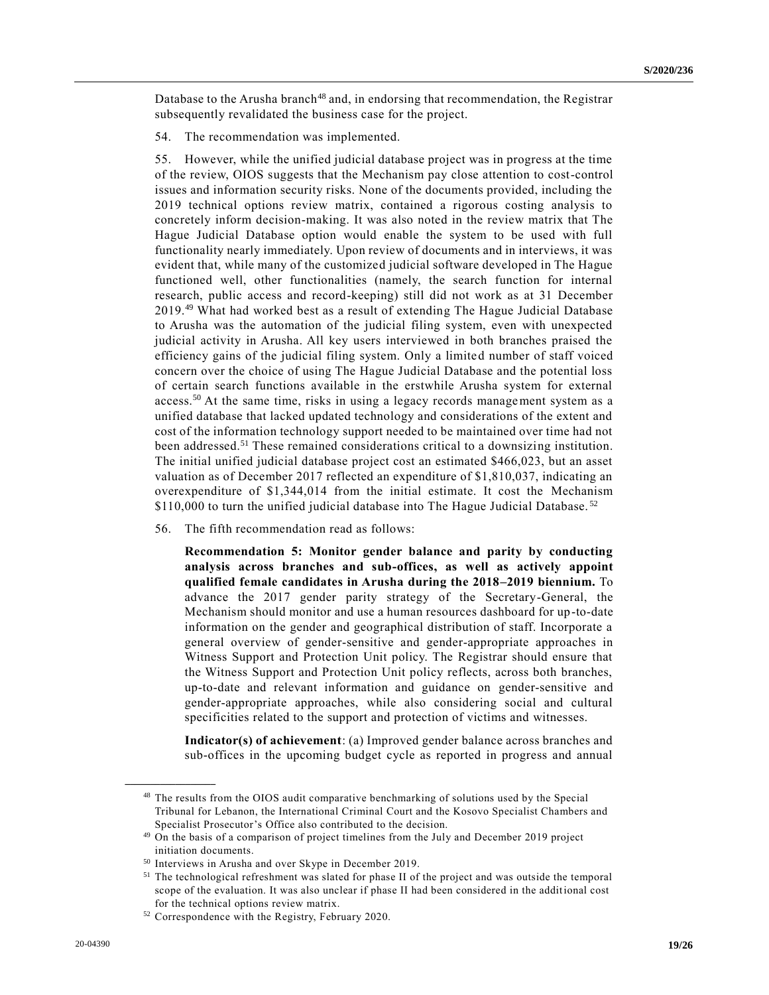Database to the Arusha branch<sup>48</sup> and, in endorsing that recommendation, the Registrar subsequently revalidated the business case for the project.

54. The recommendation was implemented.

55. However, while the unified judicial database project was in progress at the time of the review, OIOS suggests that the Mechanism pay close attention to cost-control issues and information security risks. None of the documents provided, including the 2019 technical options review matrix, contained a rigorous costing analysis to concretely inform decision-making. It was also noted in the review matrix that The Hague Judicial Database option would enable the system to be used with full functionality nearly immediately. Upon review of documents and in interviews, it was evident that, while many of the customized judicial software developed in The Hague functioned well, other functionalities (namely, the search function for internal research, public access and record-keeping) still did not work as at 31 December 2019.<sup>49</sup> What had worked best as a result of extending The Hague Judicial Database to Arusha was the automation of the judicial filing system, even with unexpected judicial activity in Arusha. All key users interviewed in both branches praised the efficiency gains of the judicial filing system. Only a limited number of staff voiced concern over the choice of using The Hague Judicial Database and the potential loss of certain search functions available in the erstwhile Arusha system for external access.<sup>50</sup> At the same time, risks in using a legacy records management system as a unified database that lacked updated technology and considerations of the extent and cost of the information technology support needed to be maintained over time had not been addressed.<sup>51</sup> These remained considerations critical to a downsizing institution. The initial unified judicial database project cost an estimated \$466,023, but an asset valuation as of December 2017 reflected an expenditure of \$1,810,037, indicating an overexpenditure of \$1,344,014 from the initial estimate. It cost the Mechanism \$110,000 to turn the unified judicial database into The Hague Judicial Database.<sup>52</sup>

56. The fifth recommendation read as follows:

**Recommendation 5: Monitor gender balance and parity by conducting analysis across branches and sub-offices, as well as actively appoint qualified female candidates in Arusha during the 2018–2019 biennium.** To advance the 2017 gender parity strategy of the Secretary-General, the Mechanism should monitor and use a human resources dashboard for up-to-date information on the gender and geographical distribution of staff. Incorporate a general overview of gender-sensitive and gender-appropriate approaches in Witness Support and Protection Unit policy. The Registrar should ensure that the Witness Support and Protection Unit policy reflects, across both branches, up-to-date and relevant information and guidance on gender-sensitive and gender-appropriate approaches, while also considering social and cultural specificities related to the support and protection of victims and witnesses.

**Indicator(s) of achievement**: (a) Improved gender balance across branches and sub-offices in the upcoming budget cycle as reported in progress and annual

<sup>48</sup> The results from the OIOS audit comparative benchmarking of solutions used by the Special Tribunal for Lebanon, the International Criminal Court and the Kosovo Specialist Chambers and Specialist Prosecutor's Office also contributed to the decision.

<sup>49</sup> On the basis of a comparison of project timelines from the July and December 2019 project initiation documents.

<sup>50</sup> Interviews in Arusha and over Skype in December 2019.

<sup>51</sup> The technological refreshment was slated for phase II of the project and was outside the temporal scope of the evaluation. It was also unclear if phase II had been considered in the additional cost for the technical options review matrix.

<sup>52</sup> Correspondence with the Registry, February 2020.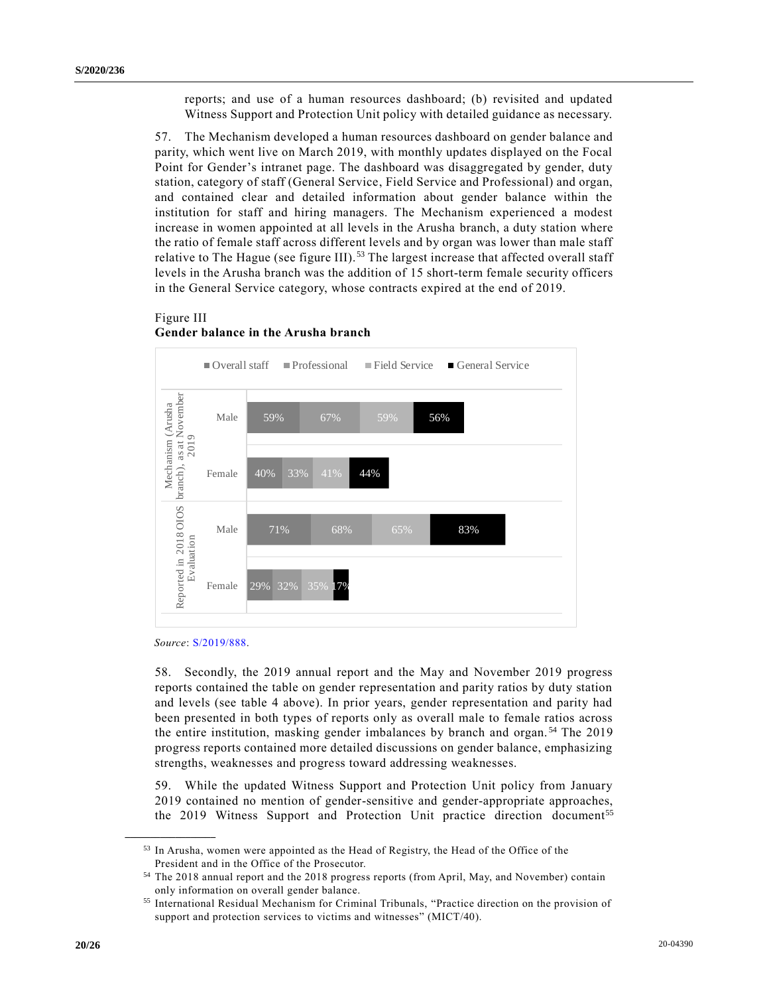reports; and use of a human resources dashboard; (b) revisited and updated Witness Support and Protection Unit policy with detailed guidance as necessary.

57. The Mechanism developed a human resources dashboard on gender balance and parity, which went live on March 2019, with monthly updates displayed on the Focal Point for Gender's intranet page. The dashboard was disaggregated by gender, duty station, category of staff (General Service, Field Service and Professional) and organ, and contained clear and detailed information about gender balance within the institution for staff and hiring managers. The Mechanism experienced a modest increase in women appointed at all levels in the Arusha branch, a duty station where the ratio of female staff across different levels and by organ was lower than male staff relative to The Hague (see figure III).<sup>53</sup> The largest increase that affected overall staff levels in the Arusha branch was the addition of 15 short-term female security officers in the General Service category, whose contracts expired at the end of 2019.

### Figure III **Gender balance in the Arusha branch**



*Source*: [S/2019/888.](https://undocs.org/en/S/2019/888)

**\_\_\_\_\_\_\_\_\_\_\_\_\_\_\_\_\_\_**

58. Secondly, the 2019 annual report and the May and November 2019 progress reports contained the table on gender representation and parity ratios by duty station and levels (see table 4 above). In prior years, gender representation and parity had been presented in both types of reports only as overall male to female ratios across the entire institution, masking gender imbalances by branch and organ. <sup>54</sup> The 2019 progress reports contained more detailed discussions on gender balance, emphasizing strengths, weaknesses and progress toward addressing weaknesses.

59. While the updated Witness Support and Protection Unit policy from January 2019 contained no mention of gender-sensitive and gender-appropriate approaches, the 2019 Witness Support and Protection Unit practice direction document<sup>55</sup>

<sup>53</sup> In Arusha, women were appointed as the Head of Registry, the Head of the Office of the President and in the Office of the Prosecutor.

<sup>54</sup> The 2018 annual report and the 2018 progress reports (from April, May, and November) contain only information on overall gender balance.

<sup>55</sup> International Residual Mechanism for Criminal Tribunals, "Practice direction on the provision of support and protection services to victims and witnesses" (MICT/40).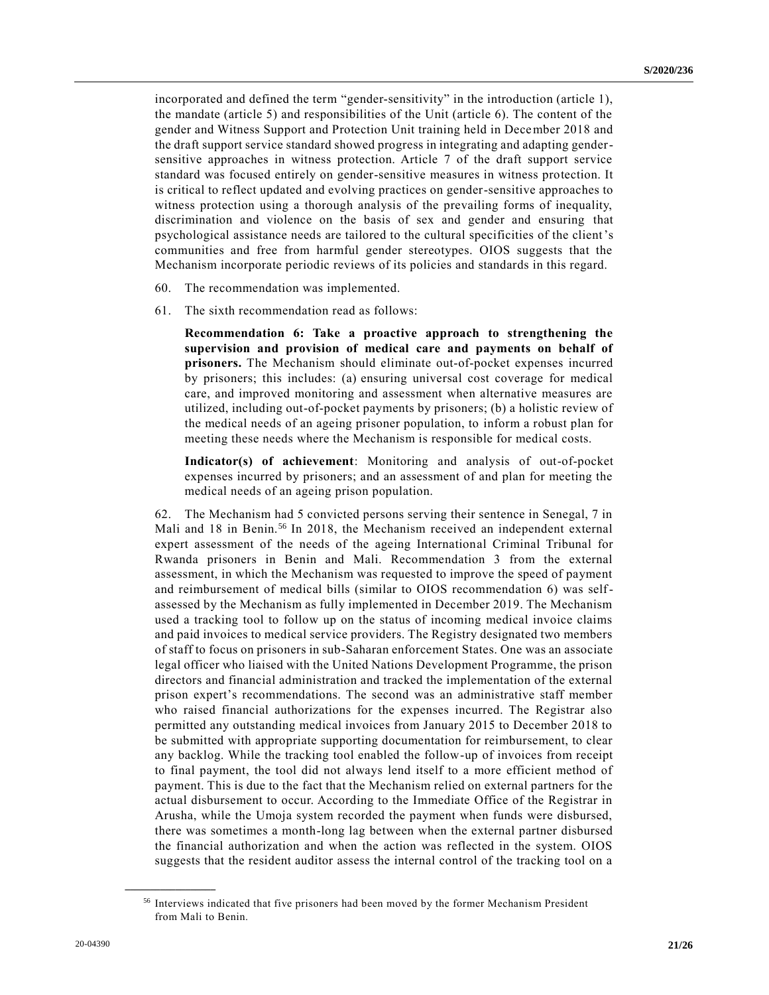incorporated and defined the term "gender-sensitivity" in the introduction (article 1), the mandate (article 5) and responsibilities of the Unit (article 6). The content of the gender and Witness Support and Protection Unit training held in December 2018 and the draft support service standard showed progress in integrating and adapting gendersensitive approaches in witness protection. Article 7 of the draft support service standard was focused entirely on gender-sensitive measures in witness protection. It is critical to reflect updated and evolving practices on gender-sensitive approaches to witness protection using a thorough analysis of the prevailing forms of inequality, discrimination and violence on the basis of sex and gender and ensuring that psychological assistance needs are tailored to the cultural specificities of the client's communities and free from harmful gender stereotypes. OIOS suggests that the Mechanism incorporate periodic reviews of its policies and standards in this regard.

- 60. The recommendation was implemented.
- 61. The sixth recommendation read as follows:

**Recommendation 6: Take a proactive approach to strengthening the supervision and provision of medical care and payments on behalf of prisoners.** The Mechanism should eliminate out-of-pocket expenses incurred by prisoners; this includes: (a) ensuring universal cost coverage for medical care, and improved monitoring and assessment when alternative measures are utilized, including out-of-pocket payments by prisoners; (b) a holistic review of the medical needs of an ageing prisoner population, to inform a robust plan for meeting these needs where the Mechanism is responsible for medical costs.

**Indicator(s) of achievement**: Monitoring and analysis of out-of-pocket expenses incurred by prisoners; and an assessment of and plan for meeting the medical needs of an ageing prison population.

62. The Mechanism had 5 convicted persons serving their sentence in Senegal, 7 in Mali and 18 in Benin.<sup>56</sup> In 2018, the Mechanism received an independent external expert assessment of the needs of the ageing International Criminal Tribunal for Rwanda prisoners in Benin and Mali. Recommendation 3 from the external assessment, in which the Mechanism was requested to improve the speed of payment and reimbursement of medical bills (similar to OIOS recommendation 6) was selfassessed by the Mechanism as fully implemented in December 2019. The Mechanism used a tracking tool to follow up on the status of incoming medical invoice claims and paid invoices to medical service providers. The Registry designated two members of staff to focus on prisoners in sub-Saharan enforcement States. One was an associate legal officer who liaised with the United Nations Development Programme, the prison directors and financial administration and tracked the implementation of the external prison expert's recommendations. The second was an administrative staff member who raised financial authorizations for the expenses incurred. The Registrar also permitted any outstanding medical invoices from January 2015 to December 2018 to be submitted with appropriate supporting documentation for reimbursement, to clear any backlog. While the tracking tool enabled the follow-up of invoices from receipt to final payment, the tool did not always lend itself to a more efficient method of payment. This is due to the fact that the Mechanism relied on external partners for the actual disbursement to occur. According to the Immediate Office of the Registrar in Arusha, while the Umoja system recorded the payment when funds were disbursed, there was sometimes a month-long lag between when the external partner disbursed the financial authorization and when the action was reflected in the system. OIOS suggests that the resident auditor assess the internal control of the tracking tool on a

<sup>56</sup> Interviews indicated that five prisoners had been moved by the former Mechanism President from Mali to Benin.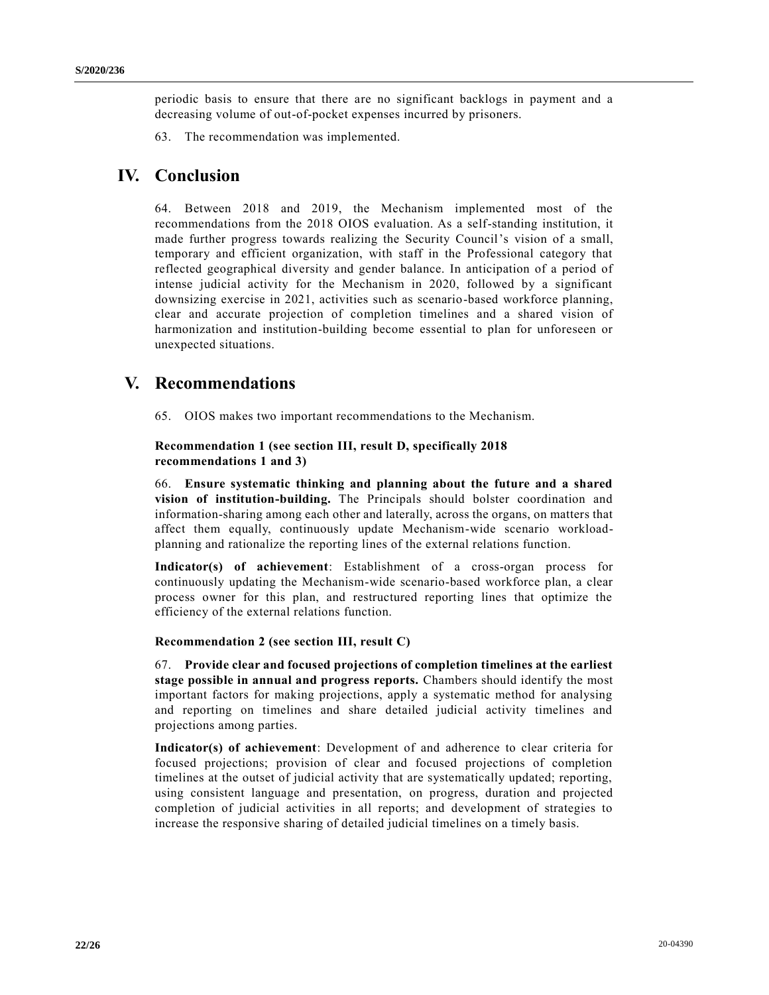periodic basis to ensure that there are no significant backlogs in payment and a decreasing volume of out-of-pocket expenses incurred by prisoners.

63. The recommendation was implemented.

# **IV. Conclusion**

64. Between 2018 and 2019, the Mechanism implemented most of the recommendations from the 2018 OIOS evaluation. As a self-standing institution, it made further progress towards realizing the Security Council's vision of a small, temporary and efficient organization, with staff in the Professional category that reflected geographical diversity and gender balance. In anticipation of a period of intense judicial activity for the Mechanism in 2020, followed by a significant downsizing exercise in 2021, activities such as scenario-based workforce planning, clear and accurate projection of completion timelines and a shared vision of harmonization and institution-building become essential to plan for unforeseen or unexpected situations.

# **V. Recommendations**

65. OIOS makes two important recommendations to the Mechanism.

#### **Recommendation 1 (see section III, result D, specifically 2018 recommendations 1 and 3)**

66. **Ensure systematic thinking and planning about the future and a shared vision of institution-building.** The Principals should bolster coordination and information-sharing among each other and laterally, across the organs, on matters that affect them equally, continuously update Mechanism-wide scenario workloadplanning and rationalize the reporting lines of the external relations function.

**Indicator(s) of achievement**: Establishment of a cross-organ process for continuously updating the Mechanism-wide scenario-based workforce plan, a clear process owner for this plan, and restructured reporting lines that optimize the efficiency of the external relations function.

#### **Recommendation 2 (see section III, result C)**

67. **Provide clear and focused projections of completion timelines at the earliest stage possible in annual and progress reports.** Chambers should identify the most important factors for making projections, apply a systematic method for analysing and reporting on timelines and share detailed judicial activity timelines and projections among parties.

**Indicator(s) of achievement**: Development of and adherence to clear criteria for focused projections; provision of clear and focused projections of completion timelines at the outset of judicial activity that are systematically updated; reporting, using consistent language and presentation, on progress, duration and projected completion of judicial activities in all reports; and development of strategies to increase the responsive sharing of detailed judicial timelines on a timely basis.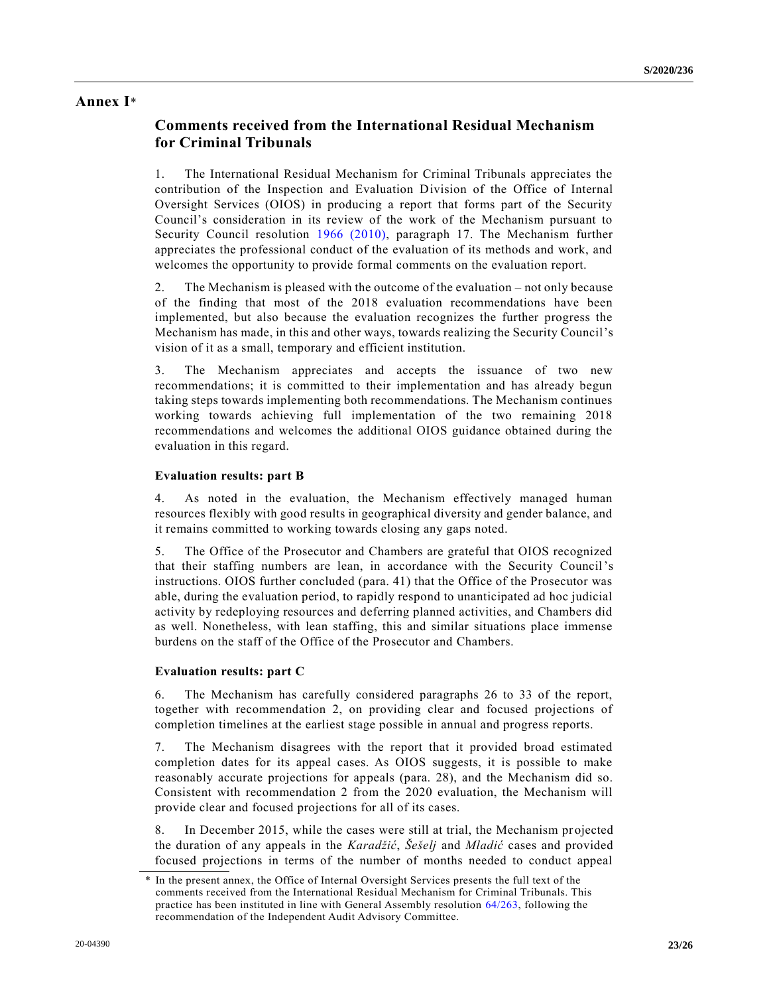## **Annex I**\*

## **Comments received from the International Residual Mechanism for Criminal Tribunals**

1. The International Residual Mechanism for Criminal Tribunals appreciates the contribution of the Inspection and Evaluation Division of the Office of Internal Oversight Services (OIOS) in producing a report that forms part of the Security Council's consideration in its review of the work of the Mechanism pursuant to Security Council resolution [1966 \(2010\),](https://undocs.org/en/S/RES/1966(2010)) paragraph 17. The Mechanism further appreciates the professional conduct of the evaluation of its methods and work, and welcomes the opportunity to provide formal comments on the evaluation report.

2. The Mechanism is pleased with the outcome of the evaluation – not only because of the finding that most of the 2018 evaluation recommendations have been implemented, but also because the evaluation recognizes the further progress the Mechanism has made, in this and other ways, towards realizing the Security Council's vision of it as a small, temporary and efficient institution.

3. The Mechanism appreciates and accepts the issuance of two new recommendations; it is committed to their implementation and has already begun taking steps towards implementing both recommendations. The Mechanism continues working towards achieving full implementation of the two remaining 2018 recommendations and welcomes the additional OIOS guidance obtained during the evaluation in this regard.

#### **Evaluation results: part B**

4. As noted in the evaluation, the Mechanism effectively managed human resources flexibly with good results in geographical diversity and gender balance, and it remains committed to working towards closing any gaps noted.

5. The Office of the Prosecutor and Chambers are grateful that OIOS recognized that their staffing numbers are lean, in accordance with the Security Council's instructions. OIOS further concluded (para. 41) that the Office of the Prosecutor was able, during the evaluation period, to rapidly respond to unanticipated ad hoc judicial activity by redeploying resources and deferring planned activities, and Chambers did as well. Nonetheless, with lean staffing, this and similar situations place immense burdens on the staff of the Office of the Prosecutor and Chambers.

#### **Evaluation results: part C**

6. The Mechanism has carefully considered paragraphs 26 to 33 of the report, together with recommendation 2, on providing clear and focused projections of completion timelines at the earliest stage possible in annual and progress reports.

7. The Mechanism disagrees with the report that it provided broad estimated completion dates for its appeal cases. As OIOS suggests, it is possible to make reasonably accurate projections for appeals (para. 28), and the Mechanism did so. Consistent with recommendation 2 from the 2020 evaluation, the Mechanism will provide clear and focused projections for all of its cases.

8. In December 2015, while the cases were still at trial, the Mechanism projected the duration of any appeals in the *Karadžić*, *Šešelj* and *Mladić* cases and provided focused projections in terms of the number of months needed to conduct appeal

In the present annex, the Office of Internal Oversight Services presents the full text of the comments received from the International Residual Mechanism for Criminal Tribunals. This practice has been instituted in line with General Assembly resolution [64/263,](https://undocs.org/en/A/RES/64/263) following the recommendation of the Independent Audit Advisory Committee.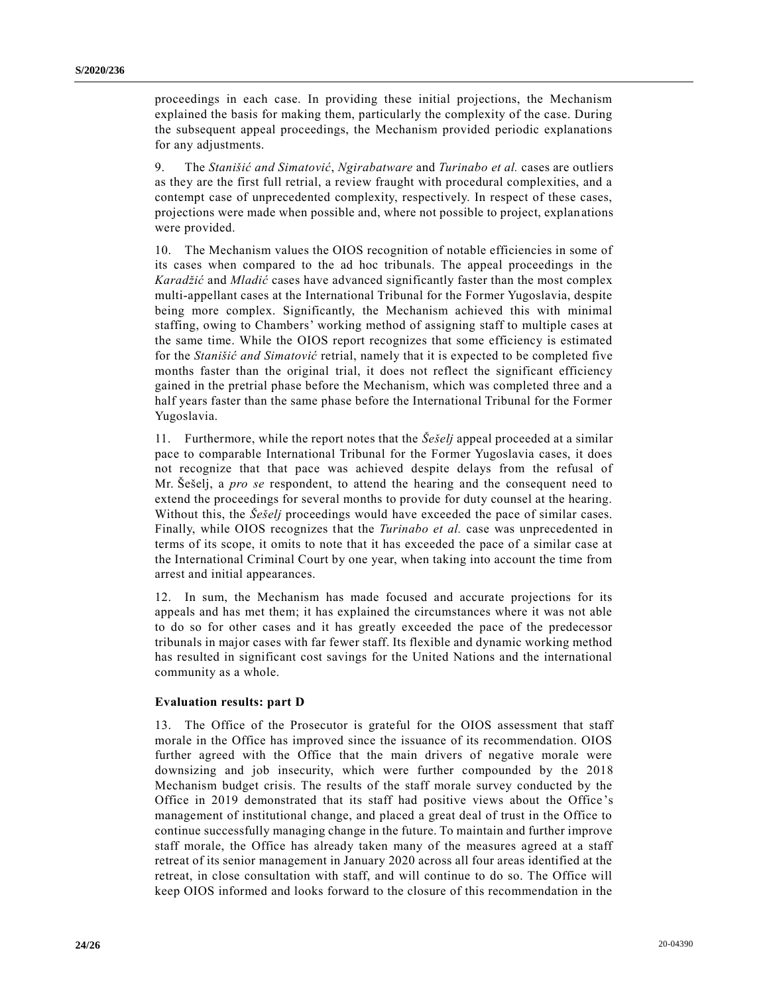proceedings in each case. In providing these initial projections, the Mechanism explained the basis for making them, particularly the complexity of the case. During the subsequent appeal proceedings, the Mechanism provided periodic explanations for any adjustments.

9. The *Stanišić and Simatović*, *Ngirabatware* and *Turinabo et al.* cases are outliers as they are the first full retrial, a review fraught with procedural complexities, and a contempt case of unprecedented complexity, respectively. In respect of these cases, projections were made when possible and, where not possible to project, explanations were provided.

10. The Mechanism values the OIOS recognition of notable efficiencies in some of its cases when compared to the ad hoc tribunals. The appeal proceedings in the *Karadžić* and *Mladić* cases have advanced significantly faster than the most complex multi-appellant cases at the International Tribunal for the Former Yugoslavia, despite being more complex. Significantly, the Mechanism achieved this with minimal staffing, owing to Chambers' working method of assigning staff to multiple cases at the same time. While the OIOS report recognizes that some efficiency is estimated for the *Stanišić and Simatović* retrial, namely that it is expected to be completed five months faster than the original trial, it does not reflect the significant efficiency gained in the pretrial phase before the Mechanism, which was completed three and a half years faster than the same phase before the International Tribunal for the Former Yugoslavia.

11. Furthermore, while the report notes that the *Šešelj* appeal proceeded at a similar pace to comparable International Tribunal for the Former Yugoslavia cases, it does not recognize that that pace was achieved despite delays from the refusal of Mr. Šešelj, a *pro se* respondent, to attend the hearing and the consequent need to extend the proceedings for several months to provide for duty counsel at the hearing. Without this, the *Šešelj* proceedings would have exceeded the pace of similar cases. Finally, while OIOS recognizes that the *Turinabo et al.* case was unprecedented in terms of its scope, it omits to note that it has exceeded the pace of a similar case at the International Criminal Court by one year, when taking into account the time from arrest and initial appearances.

12. In sum, the Mechanism has made focused and accurate projections for its appeals and has met them; it has explained the circumstances where it was not able to do so for other cases and it has greatly exceeded the pace of the predecessor tribunals in major cases with far fewer staff. Its flexible and dynamic working method has resulted in significant cost savings for the United Nations and the international community as a whole.

#### **Evaluation results: part D**

13. The Office of the Prosecutor is grateful for the OIOS assessment that staff morale in the Office has improved since the issuance of its recommendation. OIOS further agreed with the Office that the main drivers of negative morale were downsizing and job insecurity, which were further compounded by the 2018 Mechanism budget crisis. The results of the staff morale survey conducted by the Office in 2019 demonstrated that its staff had positive views about the Office 's management of institutional change, and placed a great deal of trust in the Office to continue successfully managing change in the future. To maintain and further improve staff morale, the Office has already taken many of the measures agreed at a staff retreat of its senior management in January 2020 across all four areas identified at the retreat, in close consultation with staff, and will continue to do so. The Office will keep OIOS informed and looks forward to the closure of this recommendation in the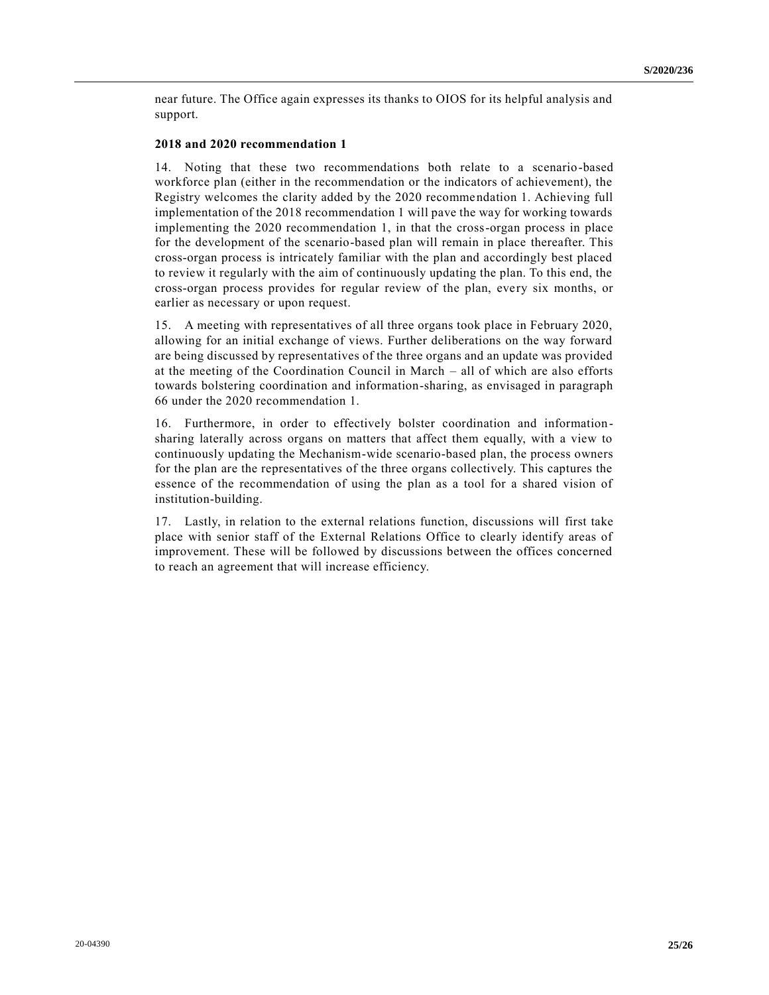near future. The Office again expresses its thanks to OIOS for its helpful analysis and support.

#### **2018 and 2020 recommendation 1**

14. Noting that these two recommendations both relate to a scenario-based workforce plan (either in the recommendation or the indicators of achievement), the Registry welcomes the clarity added by the 2020 recommendation 1. Achieving full implementation of the 2018 recommendation 1 will pave the way for working towards implementing the 2020 recommendation 1, in that the cross-organ process in place for the development of the scenario-based plan will remain in place thereafter. This cross-organ process is intricately familiar with the plan and accordingly best placed to review it regularly with the aim of continuously updating the plan. To this end, the cross-organ process provides for regular review of the plan, every six months, or earlier as necessary or upon request.

15. A meeting with representatives of all three organs took place in February 2020, allowing for an initial exchange of views. Further deliberations on the way forward are being discussed by representatives of the three organs and an update was provided at the meeting of the Coordination Council in March – all of which are also efforts towards bolstering coordination and information-sharing, as envisaged in paragraph 66 under the 2020 recommendation 1.

16. Furthermore, in order to effectively bolster coordination and informationsharing laterally across organs on matters that affect them equally, with a view to continuously updating the Mechanism-wide scenario-based plan, the process owners for the plan are the representatives of the three organs collectively. This captures the essence of the recommendation of using the plan as a tool for a shared vision of institution-building.

17. Lastly, in relation to the external relations function, discussions will first take place with senior staff of the External Relations Office to clearly identify areas of improvement. These will be followed by discussions between the offices concerned to reach an agreement that will increase efficiency.